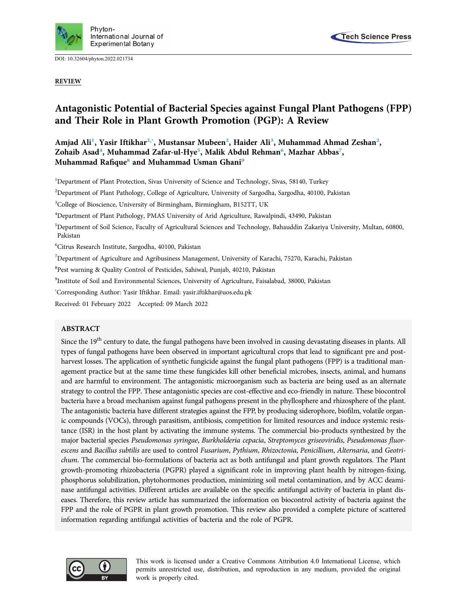

DOI: [10.32604/phyton.2022.021734](http://dx.doi.org/10.32604/phyton.2022.021734)

REVIEW



# Antagonistic Potential of Bacterial Species against Fungal Plant Pathogens (FPP) and Their Role in Plant Growth Promotion (PGP): A Review

Amjad Ali<sup>[1](#page-0-0)</sup>, Yasir Iftikhar<sup>[2,](#page-0-1)[\\*](#page-0-2)</sup>, Mustansar Mubeen<sup>2</sup>, Haider Ali<sup>[3](#page-0-3)</sup>, Muhammad Ahmad Zeshan<sup>[2](#page-0-1)</sup>, Zohaib Asad<sup>4</sup>, Muhammad Zafar-ul-Hye<sup>[5](#page-0-5)</sup>, Malik Abdul Rehman<sup>[6](#page-0-6)</sup>, Mazhar Abbas<sup>7</sup>, Muhammad Rafique<sup>[8](#page-0-8)</sup> and Muhammad Usman Ghani<sup>[9](#page-0-9)</sup>

<span id="page-0-0"></span><sup>1</sup>Department of Plant Protection, Sivas University of Science and Technology, Sivas, 58140, Turkey

<span id="page-0-1"></span>2 Department of Plant Pathology, College of Agriculture, University of Sargodha, Sargodha, 40100, Pakistan

<span id="page-0-3"></span><sup>3</sup>College of Bioscience, University of Birmingham, Birmingham, B152TT, UK

<span id="page-0-4"></span>4 Department of Plant Pathology, PMAS University of Arid Agriculture, Rawalpindi, 43490, Pakistan

<span id="page-0-5"></span><sup>5</sup>Department of Soil Science, Faculty of Agricultural Sciences and Technology, Bahauddin Zakariya University, Multan, 60800, Pakistan

<span id="page-0-6"></span>6 Citrus Research Institute, Sargodha, 40100, Pakistan

<span id="page-0-7"></span><sup>7</sup>Department of Agriculture and Agribusiness Management, University of Karachi, 75270, Karachi, Pakistan

<span id="page-0-8"></span>8 Pest warning & Quality Control of Pesticides, Sahiwal, Punjab, 40210, Pakistan

<span id="page-0-9"></span>9 Institute of Soil and Environmental Sciences, University of Agriculture, Faisalabad, 38000, Pakistan

<span id="page-0-2"></span>\* Corresponding Author: Yasir Iftikhar. Email: [yasir.iftikhar@uos.edu.pk](mailto:yasir.iftikhar@uos.edu.pk)

Received: 01 February 2022 Accepted: 09 March 2022

## ABSTRACT

Since the 19<sup>th</sup> century to date, the fungal pathogens have been involved in causing devastating diseases in plants. All types of fungal pathogens have been observed in important agricultural crops that lead to significant pre and postharvest losses. The application of synthetic fungicide against the fungal plant pathogens (FPP) is a traditional management practice but at the same time these fungicides kill other beneficial microbes, insects, animal, and humans and are harmful to environment. The antagonistic microorganism such as bacteria are being used as an alternate strategy to control the FPP. These antagonistic species are cost-effective and eco-friendly in nature. These biocontrol bacteria have a broad mechanism against fungal pathogens present in the phyllosphere and rhizosphere of the plant. The antagonistic bacteria have different strategies against the FPP, by producing siderophore, biofilm, volatile organic compounds (VOCs), through parasitism, antibiosis, competition for limited resources and induce systemic resistance (ISR) in the host plant by activating the immune systems. The commercial bio-products synthesized by the major bacterial species Pseudomonas syringae, Burkholderia cepacia, Streptomyces griseoviridis, Pseudomonas fluorescens and Bacillus subtilis are used to control Fusarium, Pythium, Rhizoctonia, Penicillium, Alternaria, and Geotrichum. The commercial bio-formulations of bacteria act as both antifungal and plant growth regulators. The Plant growth-promoting rhizobacteria (PGPR) played a significant role in improving plant health by nitrogen-fixing, phosphorus solubilization, phytohormones production, minimizing soil metal contamination, and by ACC deaminase antifungal activities. Different articles are available on the specific antifungal activity of bacteria in plant diseases. Therefore, this review article has summarized the information on biocontrol activity of bacteria against the FPP and the role of PGPR in plant growth promotion. This review also provided a complete picture of scattered information regarding antifungal activities of bacteria and the role of PGPR.



This work is licensed under a Creative Commons Attribution 4.0 International License, which permits unrestricted use, distribution, and reproduction in any medium, provided the original work is properly cited.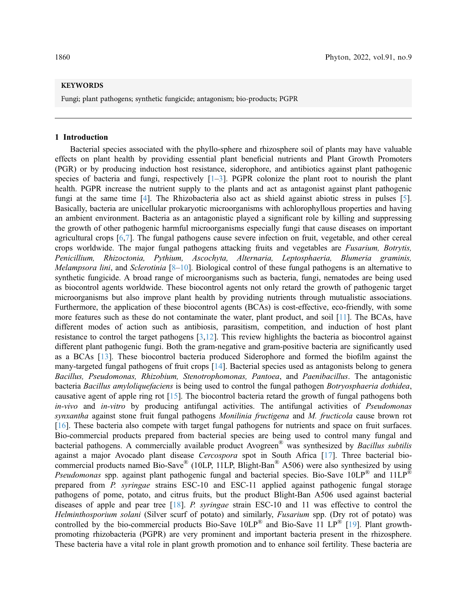# **KEYWORDS**

Fungi; plant pathogens; synthetic fungicide; antagonism; bio-products; PGPR

#### 1 Introduction

Bacterial species associated with the phyllo-sphere and rhizosphere soil of plants may have valuable effects on plant health by providing essential plant beneficial nutrients and Plant Growth Promoters (PGR) or by producing induction host resistance, siderophore, and antibiotics against plant pathogenic species of bacteria and fungi, respectively  $[1-3]$  $[1-3]$  $[1-3]$ . PGPR colonize the plant root to nourish the plant health. PGPR increase the nutrient supply to the plants and act as antagonist against plant pathogenic fungi at the same time [[4](#page-11-2)]. The Rhizobacteria also act as shield against abiotic stress in pulses [\[5\]](#page-11-3). Basically, bacteria are unicellular prokaryotic microorganisms with achlorophyllous properties and having an ambient environment. Bacteria as an antagonistic played a significant role by killing and suppressing the growth of other pathogenic harmful microorganisms especially fungi that cause diseases on important agricultural crops [\[6](#page-11-4)[,7\]](#page-11-5). The fungal pathogens cause severe infection on fruit, vegetable, and other cereal crops worldwide. The major fungal pathogens attacking fruits and vegetables are Fusarium, Botrytis, Penicillium, Rhizoctonia, Pythium, Ascochyta, Alternaria, Leptosphaeria, Blumeria graminis, *Melampsora lini,* and *Sclerotinia* [\[8](#page-11-6)–[10](#page-11-7)]. Biological control of these fungal pathogens is an alternative to synthetic fungicide. A broad range of microorganisms such as bacteria, fungi, nematodes are being used as biocontrol agents worldwide. These biocontrol agents not only retard the growth of pathogenic target microorganisms but also improve plant health by providing nutrients through mutualistic associations. Furthermore, the application of these biocontrol agents (BCAs) is cost-effective, eco-friendly, with some more features such as these do not contaminate the water, plant product, and soil [[11](#page-11-8)]. The BCAs, have different modes of action such as antibiosis, parasitism, competition, and induction of host plant resistance to control the target pathogens [\[3](#page-11-1)[,12](#page-11-9)]. This review highlights the bacteria as biocontrol against different plant pathogenic fungi. Both the gram-negative and gram-positive bacteria are significantly used as a BCAs [[13\]](#page-11-10). These biocontrol bacteria produced Siderophore and formed the biofilm against the many-targeted fungal pathogens of fruit crops [[14\]](#page-11-11). Bacterial species used as antagonists belong to genera Bacillus, Pseudomonas, Rhizobium, Stenotrophomonas, Pantoea, and Paenibacillus. The antagonistic bacteria Bacillus amyloliquefaciens is being used to control the fungal pathogen Botryosphaeria dothidea, causative agent of apple ring rot [[15\]](#page-12-0). The biocontrol bacteria retard the growth of fungal pathogens both in-vivo and in-vitro by producing antifungal activities. The antifungal activities of Pseudomonas synxantha against stone fruit fungal pathogens Monilinia fructigena and M. fructicola cause brown rot [[16](#page-12-1)]. These bacteria also compete with target fungal pathogens for nutrients and space on fruit surfaces. Bio-commercial products prepared from bacterial species are being used to control many fungal and bacterial pathogens. A commercially available product Avogreen<sup>®</sup> was synthesized by *Bacillus subtilis* against a major Avocado plant disease Cercospora spot in South Africa [[17\]](#page-12-2). Three bacterial biocommercial products named Bio-Save® (10LP, 11LP, Blight-Ban® A506) were also synthesized by using *Pseudomonas* spp. against plant pathogenic fungal and bacterial species. Bio-Save 10LP<sup>®</sup> and 11LP<sup>®</sup> prepared from P. syringae strains ESC-10 and ESC-11 applied against pathogenic fungal storage pathogens of pome, potato, and citrus fruits, but the product Blight-Ban A506 used against bacterial diseases of apple and pear tree  $[18]$  $[18]$ . P. syringae strain ESC-10 and 11 was effective to control the Helminthosporium solani (Silver scurf of potato) and similarly, Fusarium spp. (Dry rot of potato) was controlled by the bio-commercial products Bio-Save 10LP<sup>®</sup> and Bio-Save 11 LP<sup>®</sup> [[19\]](#page-12-4). Plant growthpromoting rhizobacteria (PGPR) are very prominent and important bacteria present in the rhizosphere. These bacteria have a vital role in plant growth promotion and to enhance soil fertility. These bacteria are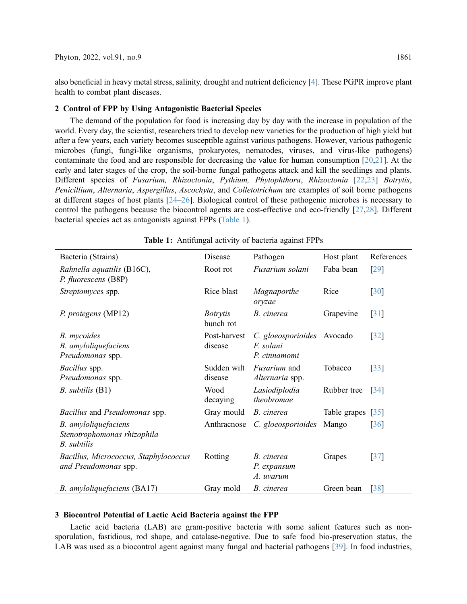also beneficial in heavy metal stress, salinity, drought and nutrient deficiency [[4](#page-11-2)]. These PGPR improve plant health to combat plant diseases.

# 2 Control of FPP by Using Antagonistic Bacterial Species

The demand of the population for food is increasing day by day with the increase in population of the world. Every day, the scientist, researchers tried to develop new varieties for the production of high yield but after a few years, each variety becomes susceptible against various pathogens. However, various pathogenic microbes (fungi, fungi-like organisms, prokaryotes, nematodes, viruses, and virus-like pathogens) contaminate the food and are responsible for decreasing the value for human consumption [\[20](#page-12-5),[21\]](#page-12-6). At the early and later stages of the crop, the soil-borne fungal pathogens attack and kill the seedlings and plants. Different species of Fusarium, Rhizoctonia, Pythium, Phytophthora, Rhizoctonia [[22,](#page-12-7)[23](#page-12-8)] Botrytis, Penicillium, Alternaria, Aspergillus, Ascochyta, and Colletotrichum are examples of soil borne pathogens at different stages of host plants [[24](#page-12-9)–[26\]](#page-12-10). Biological control of these pathogenic microbes is necessary to control the pathogens because the biocontrol agents are cost-effective and eco-friendly [\[27,](#page-12-11)[28\]](#page-12-12). Different bacterial species act as antagonists against FPPs [\(Table 1\)](#page-2-0).

<span id="page-2-0"></span>

| Bacteria (Strains)                                                        | Disease                      | Pathogen                                                | Host plant        | References         |
|---------------------------------------------------------------------------|------------------------------|---------------------------------------------------------|-------------------|--------------------|
| Rahnella aquatilis (B16C),<br>P. fluorescens (B8P)                        | Root rot                     | Fusarium solani                                         | Faba bean         | [29]               |
| Streptomyces spp.                                                         | Rice blast                   | Magnaporthe<br>oryzae                                   | Rice              | $\lceil 30 \rceil$ |
| P. protegens (MP12)                                                       | <i>Botrytis</i><br>bunch rot | B. cinerea                                              | Grapevine         | $\lceil 31 \rceil$ |
| <b>B.</b> mycoides<br>B. amyloliquefaciens<br>Pseudomonas spp.            | Post-harvest<br>disease      | C. gloeosporioides Avocado<br>F. solani<br>P. cinnamomi |                   | $\lceil 32 \rceil$ |
| Bacillus spp.<br>Pseudomonas spp.                                         | Sudden wilt<br>disease       | <i>Fusarium</i> and<br>Alternaria spp.                  | Tobacco           | $\lceil 33 \rceil$ |
| B. subtilis (B1)                                                          | Wood<br>decaying             | Lasiodiplodia<br>theobromae                             | Rubber tree       | $\lceil 34 \rceil$ |
| <i>Bacillus</i> and <i>Pseudomonas</i> spp.                               | Gray mould                   | B. cinerea                                              | Table grapes [35] |                    |
| B. amyloliquefaciens<br>Stenotrophomonas rhizophila<br><b>B.</b> subtilis | Anthracnose                  | C. gloeosporioides                                      | Mango             | $\lceil 36 \rceil$ |
| Bacillus, Micrococcus, Staphylococcus<br>and Pseudomonas spp.             | Rotting                      | B. cinerea<br>P. expansum<br>A. uvarum                  | Grapes            | $\left[37\right]$  |
| B. amyloliquefaciens (BA17)                                               | Gray mold                    | B. cinerea                                              | Green bean        | $\lceil 38 \rceil$ |

Table 1: Antifungal activity of bacteria against FPPs

## 3 Biocontrol Potential of Lactic Acid Bacteria against the FPP

Lactic acid bacteria (LAB) are gram-positive bacteria with some salient features such as nonsporulation, fastidious, rod shape, and catalase-negative. Due to safe food bio-preservation status, the LAB was used as a biocontrol agent against many fungal and bacterial pathogens [\[39](#page-13-0)]. In food industries,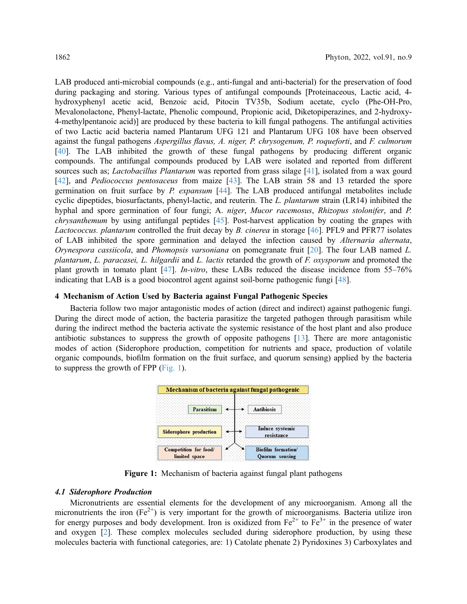LAB produced anti-microbial compounds (e.g., anti-fungal and anti-bacterial) for the preservation of food during packaging and storing. Various types of antifungal compounds [Proteinaceous, Lactic acid, 4 hydroxyphenyl acetic acid, Benzoic acid, Pitocin TV35b, Sodium acetate, cyclo (Phe-OH-Pro, Mevalonolactone, Phenyl-lactate, Phenolic compound, Propionic acid, Diketopiperazines, and 2-hydroxy-4-methylpentanoic acid)] are produced by these bacteria to kill fungal pathogens. The antifungal activities of two Lactic acid bacteria named Plantarum UFG 121 and Plantarum UFG 108 have been observed against the fungal pathogens Aspergillus flavus, A. niger, P. chrysogenum, P. roqueforti, and F. culmorum [[40](#page-13-8)]. The LAB inhibited the growth of these fungal pathogens by producing different organic compounds. The antifungal compounds produced by LAB were isolated and reported from different sources such as; *Lactobacillus Plantarum* was reported from grass silage [\[41](#page-13-9)], isolated from a wax gourd [[42](#page-13-10)], and Pediococcus pentosaceus from maize [\[43](#page-13-11)]. The LAB strain 58 and 13 retarded the spore germination on fruit surface by  $P$ . expansum [\[44](#page-13-12)]. The LAB produced antifungal metabolites include cyclic dipeptides, biosurfactants, phenyl-lactic, and reuterin. The L. plantarum strain (LR14) inhibited the hyphal and spore germination of four fungi; A. niger, Mucor racemosus, Rhizopus stolonifer, and P. chrysanthemum by using antifungal peptides [\[45](#page-13-13)]. Post-harvest application by coating the grapes with Lactococcus. plantarum controlled the fruit decay by B. cinerea in storage [\[46](#page-13-14)]. PFL9 and PFR77 isolates of LAB inhibited the spore germination and delayed the infection caused by Alternaria alternata, Orynespora cassiicola, and Phomopsis varsoniana on pomegranate fruit [[20\]](#page-12-5). The four LAB named L. plantarum, L. paracasei, L. hilgardii and L. lactis retarded the growth of  $F$ . oxysporum and promoted the plant growth in tomato plant [\[47](#page-13-15)]. *In-vitro*, these LABs reduced the disease incidence from  $55-76\%$ indicating that LAB is a good biocontrol agent against soil-borne pathogenic fungi [\[48](#page-13-16)].

## 4 Mechanism of Action Used by Bacteria against Fungal Pathogenic Species

<span id="page-3-0"></span>Bacteria follow two major antagonistic modes of action (direct and indirect) against pathogenic fungi. During the direct mode of action, the bacteria parasitize the targeted pathogen through parasitism while during the indirect method the bacteria activate the systemic resistance of the host plant and also produce antibiotic substances to suppress the growth of opposite pathogens [\[13](#page-11-10)]. There are more antagonistic modes of action (Siderophore production, competition for nutrients and space, production of volatile organic compounds, biofilm formation on the fruit surface, and quorum sensing) applied by the bacteria to suppress the growth of FPP [\(Fig. 1](#page-3-0)).



Figure 1: Mechanism of bacteria against fungal plant pathogens

# 4.1 Siderophore Production

Micronutrients are essential elements for the development of any microorganism. Among all the micronutrients the iron  $(Fe^{2+})$  is very important for the growth of microorganisms. Bacteria utilize iron for energy purposes and body development. Iron is oxidized from  $Fe^{2+}$  to  $Fe^{3+}$  in the presence of water and oxygen [[2](#page-11-12)]. These complex molecules secluded during siderophore production, by using these molecules bacteria with functional categories, are: 1) Catolate phenate 2) Pyridoxines 3) Carboxylates and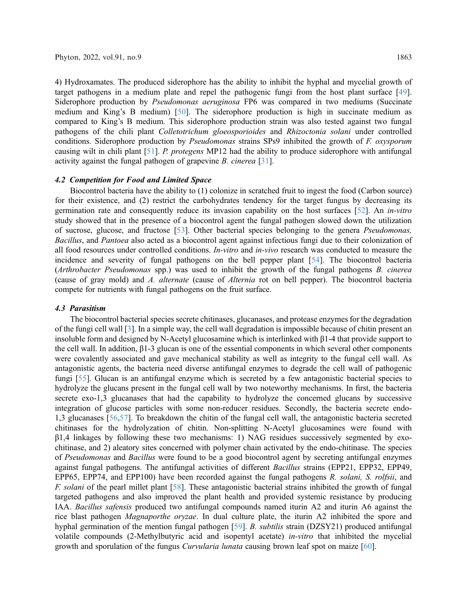4) Hydroxamates. The produced siderophore has the ability to inhibit the hyphal and mycelial growth of target pathogens in a medium plate and repel the pathogenic fungi from the host plant surface [[49\]](#page-14-0). Siderophore production by Pseudomonas aeruginosa FP6 was compared in two mediums (Succinate medium and King's B medium) [[50\]](#page-14-1). The siderophore production is high in succinate medium as compared to King's B medium. This siderophore production strain was also tested against two fungal pathogens of the chili plant Colletotrichum gloeosporioides and Rhizoctonia solani under controlled conditions. Siderophore production by *Pseudomonas* strains SPs9 inhibited the growth of F. oxysporum causing wilt in chili plant [\[51](#page-14-2)]. P. protegens MP12 had the ability to produce siderophore with antifungal activity against the fungal pathogen of grapevine B. cinerea [\[31](#page-12-15)].

## 4.2 Competition for Food and Limited Space

Biocontrol bacteria have the ability to (1) colonize in scratched fruit to ingest the food (Carbon source) for their existence, and (2) restrict the carbohydrates tendency for the target fungus by decreasing its germination rate and consequently reduce its invasion capability on the host surfaces [\[52](#page-14-3)]. An in-vitro study showed that in the presence of a biocontrol agent the fungal pathogen slowed down the utilization of sucrose, glucose, and fructose [[53\]](#page-14-4). Other bacterial species belonging to the genera Pseudomonas, Bacillus, and Pantoea also acted as a biocontrol agent against infectious fungi due to their colonization of all food resources under controlled conditions. In-vitro and in-vivo research was conducted to measure the incidence and severity of fungal pathogens on the bell pepper plant [\[54](#page-14-5)]. The biocontrol bacteria (Arthrobacter Pseudomonas spp.) was used to inhibit the growth of the fungal pathogens B. cinerea (cause of gray mold) and A. alternate (cause of Alternia rot on bell pepper). The biocontrol bacteria compete for nutrients with fungal pathogens on the fruit surface.

## 4.3 Parasitism

The biocontrol bacterial species secrete chitinases, glucanases, and protease enzymes for the degradation of the fungi cell wall [[3](#page-11-1)]. In a simple way, the cell wall degradation is impossible because of chitin present an insoluble form and designed by N-Acetyl glucosamine which is interlinked with β1-4 that provide support to the cell wall. In addition, β1-3 glucan is one of the essential components in which several other components were covalently associated and gave mechanical stability as well as integrity to the fungal cell wall. As antagonistic agents, the bacteria need diverse antifungal enzymes to degrade the cell wall of pathogenic fungi [[55\]](#page-14-6). Glucan is an antifungal enzyme which is secreted by a few antagonistic bacterial species to hydrolyze the glucans present in the fungal cell wall by two noteworthy mechanisms. In first, the bacteria secrete exo-1,3 glucanases that had the capability to hydrolyze the concerned glucans by successive integration of glucose particles with some non-reducer residues. Secondly, the bacteria secrete endo-1,3 glucanases [\[56](#page-14-7)[,57\]](#page-14-8). To breakdown the chitin of the fungal cell wall, the antagonistic bacteria secreted chitinases for the hydrolyzation of chitin. Non-splitting N-Acetyl glucosamines were found with β1,4 linkages by following these two mechanisms: 1) NAG residues successively segmented by exochitinase, and 2) aleatory sites concerned with polymer chain activated by the endo-chitinase. The species of Pseudomonas and Bacillus were found to be a good biocontrol agent by secreting antifungal enzymes against fungal pathogens. The antifungal activities of different Bacillus strains (EPP21, EPP32, EPP49, EPP65, EPP74, and EPP100) have been recorded against the fungal pathogens R. solani, S. rolfsii, and F. solani of the pearl millet plant [[58\]](#page-14-9). These antagonistic bacterial strains inhibited the growth of fungal targeted pathogens and also improved the plant health and provided systemic resistance by producing IAA. Bacillus safensis produced two antifungal compounds named iturin A2 and iturin A6 against the rice blast pathogen Magnaporthe oryzae. In dual culture plate, the iturin A2 inhibited the spore and hyphal germination of the mention fungal pathogen [[59\]](#page-14-10). B. subtilis strain (DZSY21) produced antifungal volatile compounds (2-Methylbutyric acid and isopentyl acetate) in-vitro that inhibited the mycelial growth and sporulation of the fungus Curvularia lunata causing brown leaf spot on maize [[60\]](#page-14-11).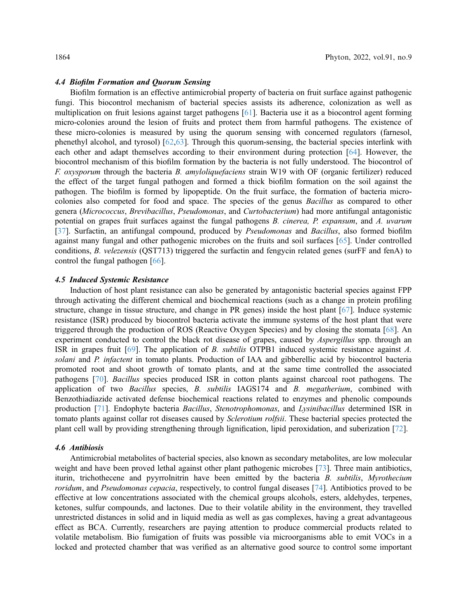## 4.4 Biofilm Formation and Quorum Sensing

Biofilm formation is an effective antimicrobial property of bacteria on fruit surface against pathogenic fungi. This biocontrol mechanism of bacterial species assists its adherence, colonization as well as multiplication on fruit lesions against target pathogens [[61](#page-14-12)]. Bacteria use it as a biocontrol agent forming micro-colonies around the lesion of fruits and protect them from harmful pathogens. The existence of these micro-colonies is measured by using the quorum sensing with concerned regulators (farnesol, phenethyl alcohol, and tyrosol) [[62,](#page-14-13)[63\]](#page-14-14). Through this quorum-sensing, the bacterial species interlink with each other and adapt themselves according to their environment during protection [[64\]](#page-14-15). However, the biocontrol mechanism of this biofilm formation by the bacteria is not fully understood. The biocontrol of F. oxysporum through the bacteria B. amyloliquefaciens strain W19 with OF (organic fertilizer) reduced the effect of the target fungal pathogen and formed a thick biofilm formation on the soil against the pathogen. The biofilm is formed by lipopeptide. On the fruit surface, the formation of bacteria microcolonies also competed for food and space. The species of the genus Bacillus as compared to other genera (Micrococcus, Brevibacillus, Pseudomonas, and Curtobacterium) had more antifungal antagonistic potential on grapes fruit surfaces against the fungal pathogens B. cinerea, P. expansum, and A. uvarum [[37](#page-13-6)]. Surfactin, an antifungal compound, produced by *Pseudomonas* and *Bacillus*, also formed biofilm against many fungal and other pathogenic microbes on the fruits and soil surfaces [[65\]](#page-14-16). Under controlled conditions, B. velezensis (QST713) triggered the surfactin and fengycin related genes (surFF and fenA) to control the fungal pathogen [\[66](#page-15-0)].

#### 4.5 Induced Systemic Resistance

Induction of host plant resistance can also be generated by antagonistic bacterial species against FPP through activating the different chemical and biochemical reactions (such as a change in protein profiling structure, change in tissue structure, and change in PR genes) inside the host plant [\[67\]](#page-15-1). Induce systemic resistance (ISR) produced by biocontrol bacteria activate the immune systems of the host plant that were triggered through the production of ROS (Reactive Oxygen Species) and by closing the stomata [[68\]](#page-15-2). An experiment conducted to control the black rot disease of grapes, caused by *Aspergillus* spp. through an ISR in grapes fruit [[69\]](#page-15-3). The application of B. subtilis OTPB1 induced systemic resistance against A. solani and P. infactent in tomato plants. Production of IAA and gibberellic acid by biocontrol bacteria promoted root and shoot growth of tomato plants, and at the same time controlled the associated pathogens [[70\]](#page-15-4). Bacillus species produced ISR in cotton plants against charcoal root pathogens. The application of two Bacillus species, B. subtilis IAGS174 and B. megatherium, combined with Benzothiadiazide activated defense biochemical reactions related to enzymes and phenolic compounds production [\[71](#page-15-5)]. Endophyte bacteria Bacillus, Stenotrophomonas, and Lysinibacillus determined ISR in tomato plants against collar rot diseases caused by *Sclerotium rolfsii*. These bacterial species protected the plant cell wall by providing strengthening through lignification, lipid peroxidation, and suberization [\[72\]](#page-15-6).

#### 4.6 Antibiosis

Antimicrobial metabolites of bacterial species, also known as secondary metabolites, are low molecular weight and have been proved lethal against other plant pathogenic microbes [\[73](#page-15-7)]. Three main antibiotics, iturin, trichothecene and pyyrrolnitrin have been emitted by the bacteria B. subtilis, Myrothecium roridum, and Pseudomonas cepacia, respectively, to control fungal diseases [[74\]](#page-15-8). Antibiotics proved to be effective at low concentrations associated with the chemical groups alcohols, esters, aldehydes, terpenes, ketones, sulfur compounds, and lactones. Due to their volatile ability in the environment, they travelled unrestricted distances in solid and in liquid media as well as gas complexes, having a great advantageous effect as BCA. Currently, researchers are paying attention to produce commercial products related to volatile metabolism. Bio fumigation of fruits was possible via microorganisms able to emit VOCs in a locked and protected chamber that was verified as an alternative good source to control some important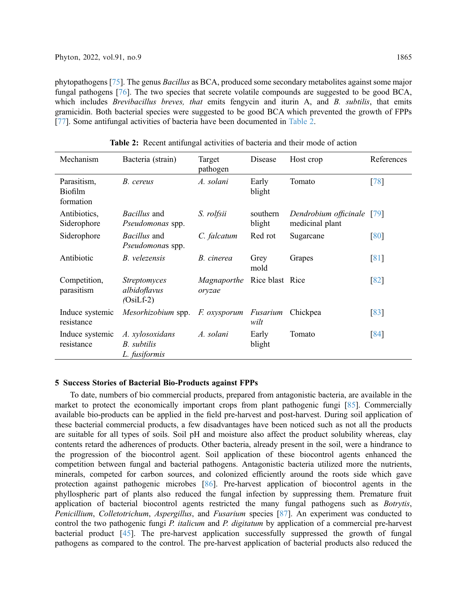phytopathogens [[75\]](#page-15-9). The genus Bacillus as BCA, produced some secondary metabolites against some major fungal pathogens [\[76](#page-15-10)]. The two species that secrete volatile compounds are suggested to be good BCA, which includes *Brevibacillus breves*, that emits fengycin and iturin A, and B. subtilis, that emits gramicidin. Both bacterial species were suggested to be good BCA which prevented the growth of FPPs [[77](#page-15-11)]. Some antifungal activities of bacteria have been documented in [Table 2.](#page-6-0)

<span id="page-6-0"></span>

| Mechanism                           | Bacteria (strain)                                  | Target<br>pathogen                           | Disease            | Host crop                                | References         |
|-------------------------------------|----------------------------------------------------|----------------------------------------------|--------------------|------------------------------------------|--------------------|
| Parasitism,<br>Biofilm<br>formation | B. cereus                                          | A. solani                                    | Early<br>blight    | Tomato                                   | [78]               |
| Antibiotics,<br>Siderophore         | <i>Bacillus</i> and<br>Pseudomonas spp.            | S. rolfsii                                   | southern<br>blight | Dendrobium officinale<br>medicinal plant | [79]               |
| Siderophore                         | Bacillus and<br>Pseudomonas spp.                   | C. falcatum                                  | Red rot            | Sugarcane                                | [80]               |
| Antibiotic                          | B. velezensis                                      | B. cinerea                                   | Grey<br>mold       | Grapes                                   | $\lceil 81 \rceil$ |
| Competition,<br>parasitism          | <i>Streptomyces</i><br>albidoflavus<br>$(OsiLf-2)$ | <i>Magnaporthe</i> Rice blast Rice<br>oryzae |                    |                                          | $\sqrt{82}$        |
| Induce systemic<br>resistance       | Mesorhizobium spp.                                 | <i>F. oxysporum</i>                          | Fusarium<br>wilt   | Chickpea                                 | [83]               |
| Induce systemic<br>resistance       | A. xylosoxidans<br>B. subtilis<br>L. fusiformis    | A. solani                                    | Early<br>blight    | Tomato                                   | [84]               |

Table 2: Recent antifungal activities of bacteria and their mode of action

## 5 Success Stories of Bacterial Bio-Products against FPPs

To date, numbers of bio commercial products, prepared from antagonistic bacteria, are available in the market to protect the economically important crops from plant pathogenic fungi [\[85](#page-16-0)]. Commercially available bio-products can be applied in the field pre-harvest and post-harvest. During soil application of these bacterial commercial products, a few disadvantages have been noticed such as not all the products are suitable for all types of soils. Soil pH and moisture also affect the product solubility whereas, clay contents retard the adherences of products. Other bacteria, already present in the soil, were a hindrance to the progression of the biocontrol agent. Soil application of these biocontrol agents enhanced the competition between fungal and bacterial pathogens. Antagonistic bacteria utilized more the nutrients, minerals, competed for carbon sources, and colonized efficiently around the roots side which gave protection against pathogenic microbes [\[86](#page-16-1)]. Pre-harvest application of biocontrol agents in the phyllospheric part of plants also reduced the fungal infection by suppressing them. Premature fruit application of bacterial biocontrol agents restricted the many fungal pathogens such as Botrytis, Penicillium, Colletotrichum, Aspergillus, and Fusarium species [[87\]](#page-16-2). An experiment was conducted to control the two pathogenic fungi P. *italicum* and P. *digitatum* by application of a commercial pre-harvest bacterial product [[45\]](#page-13-13). The pre-harvest application successfully suppressed the growth of fungal pathogens as compared to the control. The pre-harvest application of bacterial products also reduced the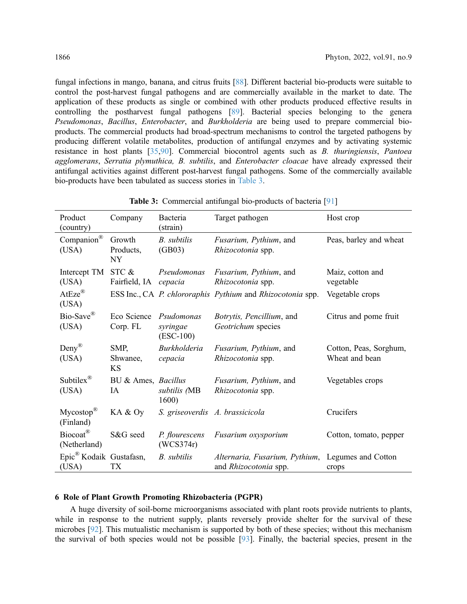fungal infections in mango, banana, and citrus fruits [[88\]](#page-16-5). Different bacterial bio-products were suitable to control the post-harvest fungal pathogens and are commercially available in the market to date. The application of these products as single or combined with other products produced effective results in controlling the postharvest fungal pathogens [[89](#page-16-6)]. Bacterial species belonging to the genera Pseudomonas, Bacillus, Enterobacter, and Burkholderia are being used to prepare commercial bioproducts. The commercial products had broad-spectrum mechanisms to control the targeted pathogens by producing different volatile metabolites, production of antifungal enzymes and by activating systemic resistance in host plants [[35,](#page-13-4)[90](#page-16-7)]. Commercial biocontrol agents such as B. thuringiensis, Pantoea agglomerans, Serratia plymuthica, B. subtilis, and Enterobacter cloacae have already expressed their antifungal activities against different post-harvest fungal pathogens. Some of the commercially available bio-products have been tabulated as success stories in [Table 3.](#page-7-0)

<span id="page-7-0"></span>

| Product<br>(country)                         | Company                          | Bacteria<br>(strain)                  | Target pathogen                                            | Host crop                                |
|----------------------------------------------|----------------------------------|---------------------------------------|------------------------------------------------------------|------------------------------------------|
| $\mathsf{Companion}^\circledR$<br>(USA)      | Growth<br>Products,<br><b>NY</b> | <b>B.</b> subtilis<br>(GB03)          | Fusarium, Pythium, and<br>Rhizocotonia spp.                | Peas, barley and wheat                   |
| Intercept TM<br>(USA)                        | STC &<br>Fairfield, IA cepacia   | Pseudomonas                           | <i>Fusarium, Pythium, and</i><br>Rhizocotonia spp.         | Maiz, cotton and<br>vegetable            |
| AtEze®<br>(USA)                              |                                  |                                       | ESS Inc., CA P. chlororaphis Pythium and Rhizocotonia spp. | Vegetable crops                          |
| Bio-Save®<br>(USA)                           | Eco Science<br>Corp. FL          | Psudomonas<br>syringae<br>$(ESC-100)$ | Botrytis, Pencillium, and<br>Geotrichum species            | Citrus and pome fruit                    |
| Deny $^{\circledR}$<br>(USA)                 | SMP,<br>Shwanee,<br>KS           | <b>Burkholderia</b><br>cepacia        | Fusarium, Pythium, and<br>Rhizocotonia spp.                | Cotton, Peas, Sorghum,<br>Wheat and bean |
| Subtilex $^{\circledR}$<br>(USA)             | BU & Ames, Bacillus<br>IA        | subtilis (MB<br>1600)                 | <i>Fusarium, Pythium, and</i><br>Rhizocotonia spp.         | Vegetables crops                         |
| Mycostop®<br>(Finland)                       | KA & Oy                          |                                       | S. griseoverdis A. brassicicola                            | Crucifers                                |
| Biocoat®<br>(Netherland)                     | S&G seed                         | P. flourescens<br>(WCS374r)           | Fusarium oxysporium                                        | Cotton, tomato, pepper                   |
| Epic <sup>®</sup> Kodaik Gustafasn,<br>(USA) | ТX                               | B. subtilis                           | Alternaria, Fusarium, Pythium,<br>and Rhizocotonia spp.    | Legumes and Cotton<br>crops              |

Table 3: Commercial antifungal bio-products of bacteria [\[91](#page-16-10)]

## 6 Role of Plant Growth Promoting Rhizobacteria (PGPR)

A huge diversity of soil-borne microorganisms associated with plant roots provide nutrients to plants, while in response to the nutrient supply, plants reversely provide shelter for the survival of these microbes [[92\]](#page-16-8). This mutualistic mechanism is supported by both of these species; without this mechanism the survival of both species would not be possible [[93\]](#page-16-9). Finally, the bacterial species, present in the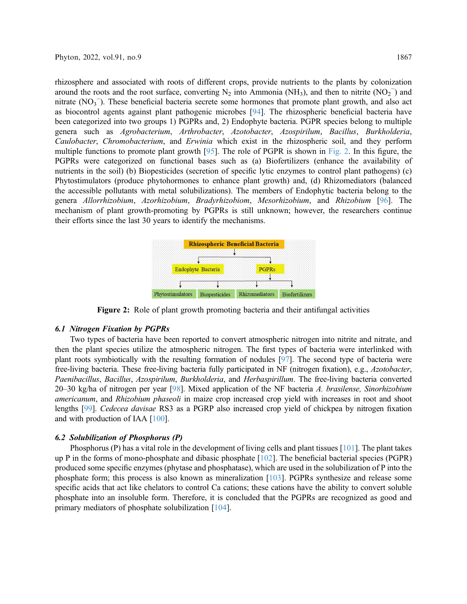rhizosphere and associated with roots of different crops, provide nutrients to the plants by colonization around the roots and the root surface, converting  $N_2$  into Ammonia (NH<sub>3</sub>), and then to nitrite (NO<sub>2</sub><sup>-</sup>) and nitrate (NO<sub>3</sub><sup>-</sup>). These beneficial bacteria secrete some hormones that promote plant growth, and also act as biocontrol agents against plant pathogenic microbes [\[94](#page-16-11)]. The rhizospheric beneficial bacteria have been categorized into two groups 1) PGPRs and, 2) Endophyte bacteria. PGPR species belong to multiple genera such as Agrobacterium, Arthrobacter, Azotobacter, Azospirilum, Bacillus, Burkholderia, Caulobacter, Chromobacterium, and Erwinia which exist in the rhizospheric soil, and they perform multiple functions to promote plant growth [[95\]](#page-16-12). The role of PGPR is shown in [Fig. 2](#page-8-0). In this figure, the PGPRs were categorized on functional bases such as (a) Biofertilizers (enhance the availability of nutrients in the soil) (b) Biopesticides (secretion of specific lytic enzymes to control plant pathogens) (c) Phytostimulators (produce phytohormones to enhance plant growth) and, (d) Rhizomediators (balanced the accessible pollutants with metal solubilizations). The members of Endophytic bacteria belong to the genera Allorrhizobium, Azorhizobium, Bradyrhizobiom, Mesorhizobium, and Rhizobium [\[96\]](#page-16-13). The mechanism of plant growth-promoting by PGPRs is still unknown; however, the researchers continue their efforts since the last 30 years to identify the mechanisms.

<span id="page-8-0"></span>

Figure 2: Role of plant growth promoting bacteria and their antifungal activities

# 6.1 Nitrogen Fixation by PGPRs

Two types of bacteria have been reported to convert atmospheric nitrogen into nitrite and nitrate, and then the plant species utilize the atmospheric nitrogen. The first types of bacteria were interlinked with plant roots symbiotically with the resulting formation of nodules [[97](#page-16-14)]. The second type of bacteria were free-living bacteria. These free-living bacteria fully participated in NF (nitrogen fixation), e.g., Azotobacter, Paenibacillus, Bacillus, Azospirilum, Burkholderia, and Herbaspirillum. The free-living bacteria converted 20–30 kg/ha of nitrogen per year [\[98\]](#page-16-15). Mixed application of the NF bacteria A. brasilense, Sinorhizobium americanum, and Rhizobium phaseoli in maize crop increased crop yield with increases in root and shoot lengths [\[99\]](#page-16-16). Cedecea davisae RS3 as a PGRP also increased crop yield of chickpea by nitrogen fixation and with production of IAA [[100\]](#page-16-17).

# 6.2 Solubilization of Phosphorus (P)

Phosphorus (P) has a vital role in the development of living cells and plant tissues [\[101\]](#page-17-0). The plant takes up P in the forms of mono-phosphate and dibasic phosphate  $[102]$ . The beneficial bacterial species (PGPR) produced some specific enzymes (phytase and phosphatase), which are used in the solubilization of P into the phosphate form; this process is also known as mineralization [[103](#page-17-2)]. PGPRs synthesize and release some specific acids that act like chelators to control Ca cations; these cations have the ability to convert soluble phosphate into an insoluble form. Therefore, it is concluded that the PGPRs are recognized as good and primary mediators of phosphate solubilization [[104](#page-17-3)].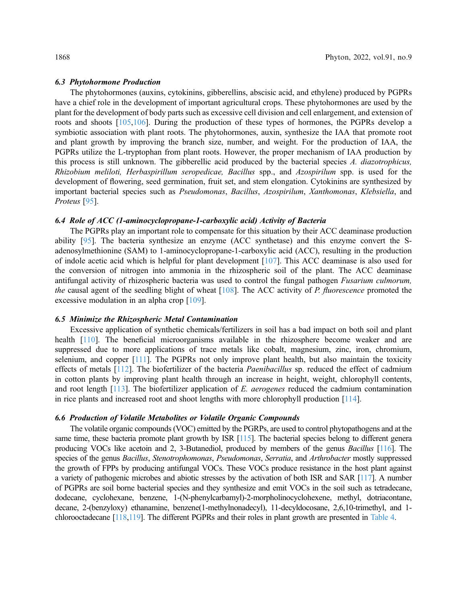#### 6.3 Phytohormone Production

The phytohormones (auxins, cytokinins, gibberellins, abscisic acid, and ethylene) produced by PGPRs have a chief role in the development of important agricultural crops. These phytohormones are used by the plant for the development of body parts such as excessive cell division and cell enlargement, and extension of roots and shoots [[105,](#page-17-4)[106](#page-17-5)]. During the production of these types of hormones, the PGPRs develop a symbiotic association with plant roots. The phytohormones, auxin, synthesize the IAA that promote root and plant growth by improving the branch size, number, and weight. For the production of IAA, the PGPRs utilize the L-tryptophan from plant roots. However, the proper mechanism of IAA production by this process is still unknown. The gibberellic acid produced by the bacterial species A. diazotrophicus, Rhizobium meliloti, Herbaspirillum seropedicae, Bacillus spp., and Azospirilum spp. is used for the development of flowering, seed germination, fruit set, and stem elongation. Cytokinins are synthesized by important bacterial species such as Pseudomonas, Bacillus, Azospirilum, Xanthomonas, Klebsiella, and Proteus [\[95](#page-16-12)].

## 6.4 Role of ACC (1-aminocyclopropane-1-carboxylic acid) Activity of Bacteria

The PGPRs play an important role to compensate for this situation by their ACC deaminase production ability [\[95](#page-16-12)]. The bacteria synthesize an enzyme (ACC synthetase) and this enzyme convert the Sadenosylmethionine (SAM) to 1-aminocyclopropane-1-carboxylic acid (ACC), resulting in the production of indole acetic acid which is helpful for plant development [[107](#page-17-6)]. This ACC deaminase is also used for the conversion of nitrogen into ammonia in the rhizospheric soil of the plant. The ACC deaminase antifungal activity of rhizospheric bacteria was used to control the fungal pathogen Fusarium culmorum, the causal agent of the seedling blight of wheat [[108](#page-17-7)]. The ACC activity of P. fluorescence promoted the excessive modulation in an alpha crop [[109](#page-17-8)].

## 6.5 Minimize the Rhizospheric Metal Contamination

Excessive application of synthetic chemicals/fertilizers in soil has a bad impact on both soil and plant health [[110\]](#page-17-9). The beneficial microorganisms available in the rhizosphere become weaker and are suppressed due to more applications of trace metals like cobalt, magnesium, zinc, iron, chromium, selenium, and copper [[111\]](#page-17-10). The PGPRs not only improve plant health, but also maintain the toxicity effects of metals [\[112](#page-17-11)]. The biofertilizer of the bacteria *Paenibacillus* sp. reduced the effect of cadmium in cotton plants by improving plant health through an increase in height, weight, chlorophyll contents, and root length  $[113]$  $[113]$ . The biofertilizer application of E. aerogenes reduced the cadmium contamination in rice plants and increased root and shoot lengths with more chlorophyll production [[114](#page-17-13)].

# 6.6 Production of Volatile Metabolites or Volatile Organic Compounds

The volatile organic compounds (VOC) emitted by the PGRPs, are used to control phytopathogens and at the same time, these bacteria promote plant growth by ISR [\[115](#page-17-14)]. The bacterial species belong to different genera producing VOCs like acetoin and 2, 3-Butanediol, produced by members of the genus Bacillus [\[116](#page-17-15)]. The species of the genus Bacillus, Stenotrophomonas, Pseudomonas, Serratia, and Arthrobacter mostly suppressed the growth of FPPs by producing antifungal VOCs. These VOCs produce resistance in the host plant against a variety of pathogenic microbes and abiotic stresses by the activation of both ISR and SAR [\[117\]](#page-17-16). A number of PGPRs are soil borne bacterial species and they synthesize and emit VOCs in the soil such as tetradecane, dodecane, cyclohexane, benzene, 1-(N-phenylcarbamyl)-2-morpholinocyclohexene, methyl, dotriacontane, decane, 2-(benzyloxy) ethanamine, benzene(1-methylnonadecyl), 11-decyldocosane, 2,6,10-trimethyl, and 1 chlorooctadecane [\[118](#page-18-0)[,119](#page-18-1)]. The different PGPRs and their roles in plant growth are presented in [Table 4](#page-10-0).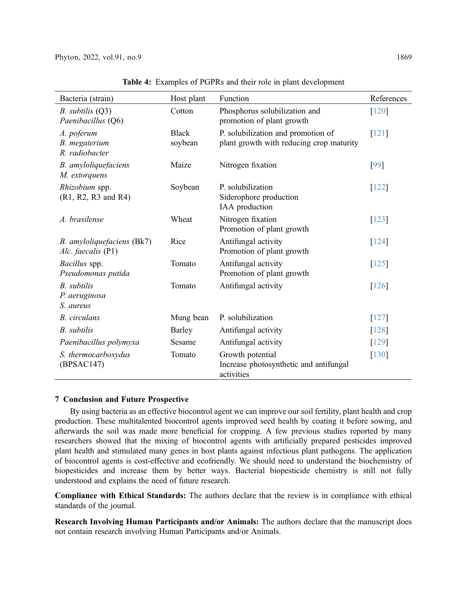<span id="page-10-0"></span>

| Bacteria (strain)                                | Host plant              | Function                                                                       | References |
|--------------------------------------------------|-------------------------|--------------------------------------------------------------------------------|------------|
| $B.$ subtilis $(Q3)$<br>Paenibacillus (Q6)       | Cotton                  | Phosphorus solubilization and<br>promotion of plant growth                     | $[120]$    |
| A. poferum<br>B. megaterium<br>R. radiobacter    | <b>Black</b><br>soybean | P. solubilization and promotion of<br>plant growth with reducing crop maturity | [121]      |
| B. amyloliquefaciens<br>M. extorquens            | Maize                   | Nitrogen fixation                                                              | [99]       |
| Rhizobium spp.<br>(R1, R2, R3 and R4)            | Soybean                 | P. solubilization<br>Siderophore production<br>IAA production                  | [122]      |
| A. brasilense                                    | Wheat                   | Nitrogen fixation<br>Promotion of plant growth                                 | [123]      |
| B. amyloliquefaciens (Bk7)<br>Alc. faecalis (P1) | Rice                    | Antifungal activity<br>Promotion of plant growth                               | $[124]$    |
| Bacillus spp.<br>Pseudomonas putida              | Tomato                  | Antifungal activity<br>Promotion of plant growth                               | $[125]$    |
| <b>B.</b> subtilis<br>P. aeruginosa<br>S. aureus | Tomato                  | Antifungal activity                                                            | $[126]$    |
| <b>B.</b> circulans                              | Mung bean               | P. solubilization                                                              | [127]      |
| <b>B.</b> subtilis                               | Barley                  | Antifungal activity                                                            | [128]      |
| Paenibacillus polymyxa                           | Sesame                  | Antifungal activity                                                            | [129]      |
| S. thermocarboxydus<br>(BPSAC147)                | Tomato                  | Growth potential<br>Increase photosynthetic and antifungal<br>activities       | $[130]$    |

Table 4: Examples of PGPRs and their role in plant development

# 7 Conclusion and Future Prospective

By using bacteria as an effective biocontrol agent we can improve our soil fertility, plant health and crop production. These multitalented biocontrol agents improved seed health by coating it before sowing, and afterwards the soil was made more beneficial for cropping. A few previous studies reported by many researchers showed that the mixing of biocontrol agents with artificially prepared pesticides improved plant health and stimulated many genes in host plants against infectious plant pathogens. The application of biocontrol agents is cost-effective and ecofriendly. We should need to understand the biochemistry of biopesticides and increase them by better ways. Bacterial biopesticide chemistry is still not fully understood and explains the need of future research.

Compliance with Ethical Standards: The authors declare that the review is in compliance with ethical standards of the journal.

Research Involving Human Participants and/or Animals: The authors declare that the manuscript does not contain research involving Human Participants and/or Animals.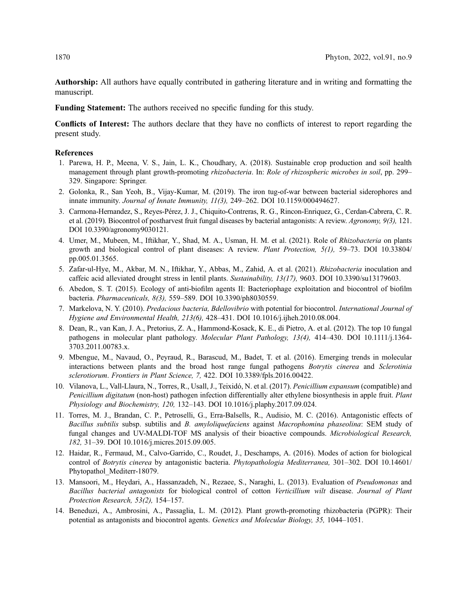Authorship: All authors have equally contributed in gathering literature and in writing and formatting the manuscript.

Funding Statement: The authors received no specific funding for this study.

Conflicts of Interest: The authors declare that they have no conflicts of interest to report regarding the present study.

#### References

- <span id="page-11-0"></span>1. Parewa, H. P., Meena, V. S., Jain, L. K., Choudhary, A. (2018). Sustainable crop production and soil health management through plant growth-promoting *rhizobacteria*. In: Role of rhizospheric microbes in soil, pp. 299– 329. Singapore: Springer.
- <span id="page-11-12"></span>2. Golonka, R., San Yeoh, B., Vijay-Kumar, M. (2019). The iron tug-of-war between bacterial siderophores and innate immunity. Journal of Innate Immunity, 11(3), 249–262. DOI [10.1159/000494627.](http://dx.doi.org/10.1159/000494627)
- <span id="page-11-1"></span>3. Carmona-Hernandez, S., Reyes-Pérez, J. J., Chiquito-Contreras, R. G., Rincon-Enriquez, G., Cerdan-Cabrera, C. R. et al. (2019). Biocontrol of postharvest fruit fungal diseases by bacterial antagonists: A review. Agronomy, 9(3), 121. DOI [10.3390/agronomy9030121.](http://dx.doi.org/10.3390/agronomy9030121)
- <span id="page-11-2"></span>4. Umer, M., Mubeen, M., Iftikhar, Y., Shad, M. A., Usman, H. M. et al. (2021). Role of Rhizobacteria on plants growth and biological control of plant diseases: A review. Plant Protection, 5(1), 59–73. DOI [10.33804/](http://dx.doi.org/10.33804/pp.005.01.3565) [pp.005.01.3565.](http://dx.doi.org/10.33804/pp.005.01.3565)
- <span id="page-11-3"></span>5. Zafar-ul-Hye, M., Akbar, M. N., Iftikhar, Y., Abbas, M., Zahid, A. et al. (2021). Rhizobacteria inoculation and caffeic acid alleviated drought stress in lentil plants. Sustainability, 13(17), 9603. DOI [10.3390/su13179603](http://dx.doi.org/10.3390/su13179603).
- <span id="page-11-4"></span>6. Abedon, S. T. (2015). Ecology of anti-biofilm agents II: Bacteriophage exploitation and biocontrol of biofilm bacteria. Pharmaceuticals, 8(3), 559–589. DOI [10.3390/ph8030559.](http://dx.doi.org/10.3390/ph8030559)
- <span id="page-11-5"></span>7. Markelova, N. Y. (2010). Predacious bacteria, Bdellovibrio with potential for biocontrol. International Journal of Hygiene and Environmental Health, 213(6), 428–431. DOI [10.1016/j.ijheh.2010.08.004.](http://dx.doi.org/10.1016/j.ijheh.2010.08.004)
- <span id="page-11-6"></span>8. Dean, R., van Kan, J. A., Pretorius, Z. A., Hammond-Kosack, K. E., di Pietro, A. et al. (2012). The top 10 fungal pathogens in molecular plant pathology. Molecular Plant Pathology, 13(4), 414–430. DOI [10.1111/j.1364-](http://dx.doi.org/10.1111/j.1364-3703.2011.00783.x) [3703.2011.00783.x.](http://dx.doi.org/10.1111/j.1364-3703.2011.00783.x)
- 9. Mbengue, M., Navaud, O., Peyraud, R., Barascud, M., Badet, T. et al. (2016). Emerging trends in molecular interactions between plants and the broad host range fungal pathogens Botrytis cinerea and Sclerotinia sclerotiorum. Frontiers in Plant Science, 7, 422. DOI [10.3389/fpls.2016.00422](http://dx.doi.org/10.3389/fpls.2016.00422).
- <span id="page-11-7"></span>10. Vilanova, L., Vall-Llaura, N., Torres, R., Usall, J., Teixidó, N. et al. (2017). Penicillium expansum (compatible) and Penicillium digitatum (non-host) pathogen infection differentially alter ethylene biosynthesis in apple fruit. Plant Physiology and Biochemistry, 120, 132–143. DOI [10.1016/j.plaphy.2017.09.024](http://dx.doi.org/10.1016/j.plaphy.2017.09.024).
- <span id="page-11-8"></span>11. Torres, M. J., Brandan, C. P., Petroselli, G., Erra-Balsells, R., Audisio, M. C. (2016). Antagonistic effects of Bacillus subtilis subsp. subtilis and B. amyloliquefaciens against Macrophomina phaseolina: SEM study of fungal changes and UV-MALDI-TOF MS analysis of their bioactive compounds. *Microbiological Research*, 182, 31–39. DOI [10.1016/j.micres.2015.09.005.](http://dx.doi.org/10.1016/j.micres.2015.09.005)
- <span id="page-11-9"></span>12. Haidar, R., Fermaud, M., Calvo-Garrido, C., Roudet, J., Deschamps, A. (2016). Modes of action for biological control of Botrytis cinerea by antagonistic bacteria. Phytopathologia Mediterranea, 301-302. DOI [10.14601/](http://dx.doi.org/10.14601/Phytopathol_Mediterr-18079) [Phytopathol\\_Mediterr-18079.](http://dx.doi.org/10.14601/Phytopathol_Mediterr-18079)
- <span id="page-11-10"></span>13. Mansoori, M., Heydari, A., Hassanzadeh, N., Rezaee, S., Naraghi, L. (2013). Evaluation of Pseudomonas and Bacillus bacterial antagonists for biological control of cotton Verticillium wilt disease. Journal of Plant Protection Research, 53(2), 154–157.
- <span id="page-11-11"></span>14. Beneduzi, A., Ambrosini, A., Passaglia, L. M. (2012). Plant growth-promoting rhizobacteria (PGPR): Their potential as antagonists and biocontrol agents. Genetics and Molecular Biology, 35, 1044–1051.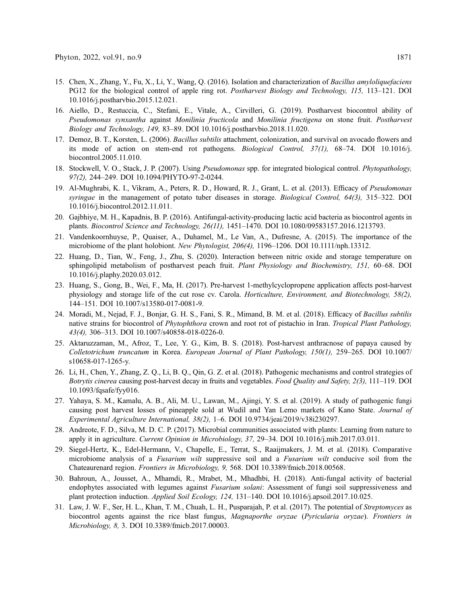- <span id="page-12-0"></span>15. Chen, X., Zhang, Y., Fu, X., Li, Y., Wang, Q. (2016). Isolation and characterization of Bacillus amyloliquefaciens PG12 for the biological control of apple ring rot. Postharvest Biology and Technology, 115, 113–121. DOI [10.1016/j.postharvbio.2015.12.021.](http://dx.doi.org/10.1016/j.postharvbio.2015.12.021)
- <span id="page-12-1"></span>16. Aiello, D., Restuccia, C., Stefani, E., Vitale, A., Cirvilleri, G. (2019). Postharvest biocontrol ability of Pseudomonas synxantha against Monilinia fructicola and Monilinia fructigena on stone fruit. Postharvest Biology and Technology, 149, 83–89. DOI [10.1016/j.postharvbio.2018.11.020](http://dx.doi.org/10.1016/j.postharvbio.2018.11.020).
- <span id="page-12-2"></span>17. Demoz, B. T., Korsten, L. (2006). Bacillus subtilis attachment, colonization, and survival on avocado flowers and its mode of action on stem-end rot pathogens. Biological Control, 37(1), 68–74. DOI [10.1016/j.](http://dx.doi.org/10.1016/j.biocontrol.2005.11.010) [biocontrol.2005.11.010](http://dx.doi.org/10.1016/j.biocontrol.2005.11.010).
- <span id="page-12-3"></span>18. Stockwell, V. O., Stack, J. P. (2007). Using Pseudomonas spp. for integrated biological control. Phytopathology, 97(2), 244–249. DOI [10.1094/PHYTO-97-2-0244.](http://dx.doi.org/10.1094/PHYTO-97-2-0244)
- <span id="page-12-4"></span>19. Al-Mughrabi, K. I., Vikram, A., Peters, R. D., Howard, R. J., Grant, L. et al. (2013). Efficacy of Pseudomonas syringae in the management of potato tuber diseases in storage. Biological Control, 64(3), 315–322. DOI [10.1016/j.biocontrol.2012.11.011](http://dx.doi.org/10.1016/j.biocontrol.2012.11.011).
- <span id="page-12-5"></span>20. Gajbhiye, M. H., Kapadnis, B. P. (2016). Antifungal-activity-producing lactic acid bacteria as biocontrol agents in plants. Biocontrol Science and Technology, 26(11), 1451–1470. DOI [10.1080/09583157.2016.1213793](http://dx.doi.org/10.1080/09583157.2016.1213793).
- <span id="page-12-6"></span>21. Vandenkoornhuyse, P., Quaiser, A., Duhamel, M., Le Van, A., Dufresne, A. (2015). The importance of the microbiome of the plant holobiont. New Phytologist, 206(4), 1196–1206. DOI [10.1111/nph.13312](http://dx.doi.org/10.1111/nph.13312).
- <span id="page-12-7"></span>22. Huang, D., Tian, W., Feng, J., Zhu, S. (2020). Interaction between nitric oxide and storage temperature on sphingolipid metabolism of postharvest peach fruit. Plant Physiology and Biochemistry, 151, 60–68. DOI [10.1016/j.plaphy.2020.03.012.](http://dx.doi.org/10.1016/j.plaphy.2020.03.012)
- <span id="page-12-8"></span>23. Huang, S., Gong, B., Wei, F., Ma, H. (2017). Pre-harvest 1-methylcyclopropene application affects post-harvest physiology and storage life of the cut rose cv. Carola. Horticulture, Environment, and Biotechnology, 58(2), 144–151. DOI [10.1007/s13580-017-0081-9.](http://dx.doi.org/10.1007/s13580-017-0081-9)
- <span id="page-12-9"></span>24. Moradi, M., Nejad, F. J., Bonjar, G. H. S., Fani, S. R., Mimand, B. M. et al. (2018). Efficacy of Bacillus subtilis native strains for biocontrol of *Phytophthora* crown and root rot of pistachio in Iran. Tropical Plant Pathology, 43(4), 306–313. DOI [10.1007/s40858-018-0226-0.](http://dx.doi.org/10.1007/s40858-018-0226-0)
- 25. Aktaruzzaman, M., Afroz, T., Lee, Y. G., Kim, B. S. (2018). Post-harvest anthracnose of papaya caused by Colletotrichum truncatum in Korea. European Journal of Plant Pathology, 150(1), 259–265. DOI [10.1007/](http://dx.doi.org/10.1007/s10658-017-1265-y) [s10658-017-1265-y.](http://dx.doi.org/10.1007/s10658-017-1265-y)
- <span id="page-12-10"></span>26. Li, H., Chen, Y., Zhang, Z. Q., Li, B. Q., Qin, G. Z. et al. (2018). Pathogenic mechanisms and control strategies of Botrytis cinerea causing post-harvest decay in fruits and vegetables. Food Quality and Safety, 2(3), 111–119. DOI [10.1093/fqsafe/fyy016.](http://dx.doi.org/10.1093/fqsafe/fyy016)
- <span id="page-12-11"></span>27. Yahaya, S. M., Kamalu, A. B., Ali, M. U., Lawan, M., Ajingi, Y. S. et al. (2019). A study of pathogenic fungi causing post harvest losses of pineapple sold at Wudil and Yan Lemo markets of Kano State. Journal of Experimental Agriculture International, 38(2), 1–6. DOI [10.9734/jeai/2019/v38i230297.](http://dx.doi.org/10.9734/jeai/2019/v38i230297)
- <span id="page-12-12"></span>28. Andreote, F. D., Silva, M. D. C. P. (2017). Microbial communities associated with plants: Learning from nature to apply it in agriculture. Current Opinion in Microbiology, 37, 29–34. DOI [10.1016/j.mib.2017.03.011.](http://dx.doi.org/10.1016/j.mib.2017.03.011)
- <span id="page-12-13"></span>29. Siegel-Hertz, K., Edel-Hermann, V., Chapelle, E., Terrat, S., Raaijmakers, J. M. et al. (2018). Comparative microbiome analysis of a *Fusarium wilt* suppressive soil and a *Fusarium wilt* conducive soil from the Chateaurenard region. Frontiers in Microbiology, 9, 568. DOI [10.3389/fmicb.2018.00568.](http://dx.doi.org/10.3389/fmicb.2018.00568)
- <span id="page-12-14"></span>30. Bahroun, A., Jousset, A., Mhamdi, R., Mrabet, M., Mhadhbi, H. (2018). Anti-fungal activity of bacterial endophytes associated with legumes against Fusarium solani: Assessment of fungi soil suppressiveness and plant protection induction. Applied Soil Ecology, 124, 131–140. DOI [10.1016/j.apsoil.2017.10.025](http://dx.doi.org/10.1016/j.apsoil.2017.10.025).
- <span id="page-12-15"></span>31. Law, J. W. F., Ser, H. L., Khan, T. M., Chuah, L. H., Pusparajah, P. et al. (2017). The potential of Streptomyces as biocontrol agents against the rice blast fungus, Magnaporthe oryzae (Pyricularia oryzae). Frontiers in Microbiology, 8, 3. DOI [10.3389/fmicb.2017.00003](http://dx.doi.org/10.3389/fmicb.2017.00003).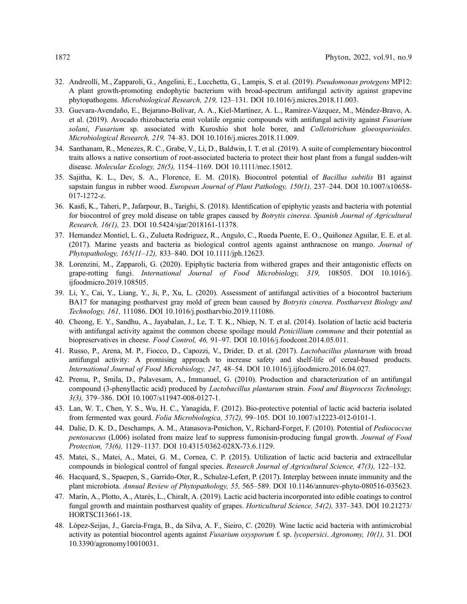- <span id="page-13-1"></span>32. Andreolli, M., Zapparoli, G., Angelini, E., Lucchetta, G., Lampis, S. et al. (2019). Pseudomonas protegens MP12: A plant growth-promoting endophytic bacterium with broad-spectrum antifungal activity against grapevine phytopathogens. Microbiological Research, 219, 123–131. DOI [10.1016/j.micres.2018.11.003.](http://dx.doi.org/10.1016/j.micres.2018.11.003)
- <span id="page-13-2"></span>33. Guevara-Avendaño, E., Bejarano-Bolívar, A. A., Kiel-Martínez, A. L., Ramírez-Vázquez, M., Méndez-Bravo, A. et al. (2019). Avocado rhizobacteria emit volatile organic compounds with antifungal activity against *Fusarium* solani, Fusarium sp. associated with Kuroshio shot hole borer, and Colletotrichum gloeosporioides. Microbiological Research, 219, 74–83. DOI [10.1016/j.micres.2018.11.009](http://dx.doi.org/10.1016/j.micres.2018.11.009).
- <span id="page-13-3"></span>34. Santhanam, R., Menezes, R. C., Grabe, V., Li, D., Baldwin, I. T. et al. (2019). A suite of complementary biocontrol traits allows a native consortium of root-associated bacteria to protect their host plant from a fungal sudden-wilt disease. Molecular Ecology, 28(5), 1154–1169. DOI [10.1111/mec.15012](http://dx.doi.org/10.1111/mec.15012).
- <span id="page-13-4"></span>35. Sajitha, K. L., Dev, S. A., Florence, E. M. (2018). Biocontrol potential of Bacillus subtilis B1 against sapstain fungus in rubber wood. European Journal of Plant Pathology, 150(1), 237-244. DOI [10.1007/s10658-](http://dx.doi.org/10.1007/s10658-017-1272-z) [017-1272-z](http://dx.doi.org/10.1007/s10658-017-1272-z).
- <span id="page-13-5"></span>36. Kasfi, K., Taheri, P., Jafarpour, B., Tarighi, S. (2018). Identification of epiphytic yeasts and bacteria with potential for biocontrol of grey mold disease on table grapes caused by Botrytis cinerea. Spanish Journal of Agricultural Research, 16(1), 23. DOI [10.5424/sjar/2018161-11378](http://dx.doi.org/10.5424/sjar/2018161-11378).
- <span id="page-13-6"></span>37. Hernandez Montiel, L. G., Zulueta Rodriguez, R., Angulo, C., Rueda Puente, E. O., Quiñonez Aguilar, E. E. et al. (2017). Marine yeasts and bacteria as biological control agents against anthracnose on mango. Journal of Phytopathology, 165(11–12), 833–840. DOI [10.1111/jph.12623.](http://dx.doi.org/10.1111/jph.12623)
- <span id="page-13-7"></span>38. Lorenzini, M., Zapparoli, G. (2020). Epiphytic bacteria from withered grapes and their antagonistic effects on grape-rotting fungi. International Journal of Food Microbiology, 319, 108505. DOI [10.1016/j.](http://dx.doi.org/10.1016/j.ijfoodmicro.2019.108505) iifoodmicro.2019.108505.
- <span id="page-13-0"></span>39. Li, Y., Cai, Y., Liang, Y., Ji, P., Xu, L. (2020). Assessment of antifungal activities of a biocontrol bacterium BA17 for managing postharvest gray mold of green bean caused by Botrytis cinerea. Postharvest Biology and Technology, 161, 111086. DOI [10.1016/j.postharvbio.2019.111086](http://dx.doi.org/10.1016/j.postharvbio.2019.111086).
- <span id="page-13-8"></span>40. Cheong, E. Y., Sandhu, A., Jayabalan, J., Le, T. T. K., Nhiep, N. T. et al. (2014). Isolation of lactic acid bacteria with antifungal activity against the common cheese spoilage mould *Penicillium commune* and their potential as biopreservatives in cheese. Food Control, 46, 91-97. DOI [10.1016/j.foodcont.2014.05.011.](http://dx.doi.org/10.1016/j.foodcont.2014.05.011)
- <span id="page-13-9"></span>41. Russo, P., Arena, M. P., Fiocco, D., Capozzi, V., Drider, D. et al. (2017). Lactobacillus plantarum with broad antifungal activity: A promising approach to increase safety and shelf-life of cereal-based products. International Journal of Food Microbiology, 247, 48–54. DOI [10.1016/j.ijfoodmicro.2016.04.027](http://dx.doi.org/10.1016/j.ijfoodmicro.2016.04.027).
- <span id="page-13-10"></span>42. Prema, P., Smila, D., Palavesam, A., Immanuel, G. (2010). Production and characterization of an antifungal compound (3-phenyllactic acid) produced by *Lactobacillus plantarum* strain. Food and Bioprocess Technology, 3(3), 379–386. DOI [10.1007/s11947-008-0127-1.](http://dx.doi.org/10.1007/s11947-008-0127-1)
- <span id="page-13-11"></span>43. Lan, W. T., Chen, Y. S., Wu, H. C., Yanagida, F. (2012). Bio-protective potential of lactic acid bacteria isolated from fermented wax gourd. Folia Microbiologica, 57(2), 99–105. DOI [10.1007/s12223-012-0101-1](http://dx.doi.org/10.1007/s12223-012-0101-1).
- <span id="page-13-12"></span>44. Dalie, D. K. D., Deschamps, A. M., Atanasova-Penichon, V., Richard-Forget, F. (2010). Potential of Pediococcus pentosaceus (L006) isolated from maize leaf to suppress fumonisin-producing fungal growth. Journal of Food Protection, 73(6), 1129–1137. DOI [10.4315/0362-028X-73.6.1129.](http://dx.doi.org/10.4315/0362-028X-73.6.1129)
- <span id="page-13-13"></span>45. Matei, S., Matei, A., Matei, G. M., Cornea, C. P. (2015). Utilization of lactic acid bacteria and extracellular compounds in biological control of fungal species. Research Journal of Agricultural Science, 47(3), 122–132.
- <span id="page-13-14"></span>46. Hacquard, S., Spaepen, S., Garrido-Oter, R., Schulze-Lefert, P. (2017). Interplay between innate immunity and the plant microbiota. Annual Review of Phytopathology, 55, 565-589. DOI [10.1146/annurev-phyto-080516-035623.](http://dx.doi.org/10.1146/annurev-phyto-080516-035623)
- <span id="page-13-15"></span>47. Marín, A., Plotto, A., Atarés, L., Chiralt, A. (2019). Lactic acid bacteria incorporated into edible coatings to control fungal growth and maintain postharvest quality of grapes. Horticultural Science, 54(2), 337–343. DOI [10.21273/](http://dx.doi.org/10.21273/HORTSCI13661-18) [HORTSCI13661-18.](http://dx.doi.org/10.21273/HORTSCI13661-18)
- <span id="page-13-16"></span>48. López-Seijas, J., García-Fraga, B., da Silva, A. F., Sieiro, C. (2020). Wine lactic acid bacteria with antimicrobial activity as potential biocontrol agents against Fusarium oxysporum f. sp. lycopersici. Agronomy, 10(1), 31. DOI [10.3390/agronomy10010031.](http://dx.doi.org/10.3390/agronomy10010031)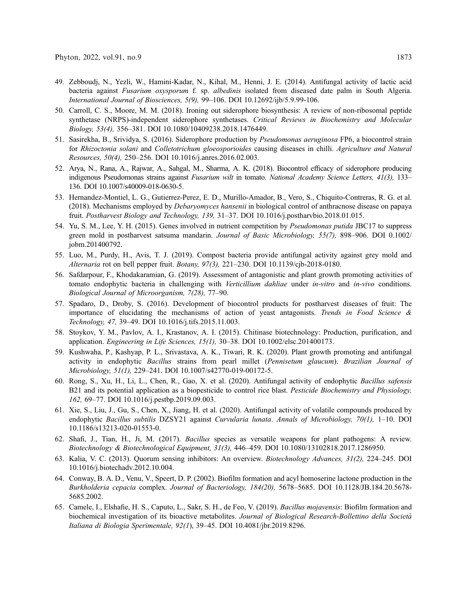- <span id="page-14-0"></span>49. Zebboudj, N., Yezli, W., Hamini-Kadar, N., Kihal, M., Henni, J. E. (2014). Antifungal activity of lactic acid bacteria against *Fusarium oxysporum* f. sp. *albedinis* isolated from diseased date palm in South Algeria. International Journal of Biosciences, 5(9), 99–106. DOI [10.12692/ijb/5.9.99-106.](http://dx.doi.org/10.12692/ijb/5.9.99-106)
- <span id="page-14-1"></span>50. Carroll, C. S., Moore, M. M. (2018). Ironing out siderophore biosynthesis: A review of non-ribosomal peptide synthetase (NRPS)-independent siderophore synthetases. Critical Reviews in Biochemistry and Molecular Biology, 53(4), 356–381. DOI [10.1080/10409238.2018.1476449](http://dx.doi.org/10.1080/10409238.2018.1476449).
- <span id="page-14-2"></span>51. Sasirekha, B., Srividya, S. (2016). Siderophore production by Pseudomonas aeruginosa FP6, a biocontrol strain for Rhizoctonia solani and Colletotrichum gloeosporioides causing diseases in chilli. Agriculture and Natural Resources, 50(4), 250–256. DOI [10.1016/j.anres.2016.02.003.](http://dx.doi.org/10.1016/j.anres.2016.02.003)
- <span id="page-14-3"></span>52. Arya, N., Rana, A., Rajwar, A., Sahgal, M., Sharma, A. K. (2018). Biocontrol efficacy of siderophore producing indigenous Pseudomonas strains against Fusarium wilt in tomato. National Academy Science Letters, 41(3), 133– 136. DOI [10.1007/s40009-018-0630-5.](http://dx.doi.org/10.1007/s40009-018-0630-5)
- <span id="page-14-4"></span>53. Hernandez-Montiel, L. G., Gutierrez-Perez, E. D., Murillo-Amador, B., Vero, S., Chiquito-Contreras, R. G. et al. (2018). Mechanisms employed by Debaryomyces hansenii in biological control of anthracnose disease on papaya fruit. Postharvest Biology and Technology, 139, 31–37. DOI [10.1016/j.postharvbio.2018.01.015.](http://dx.doi.org/10.1016/j.postharvbio.2018.01.015)
- <span id="page-14-5"></span>54. Yu, S. M., Lee, Y. H. (2015). Genes involved in nutrient competition by Pseudomonas putida JBC17 to suppress green mold in postharvest satsuma mandarin. Journal of Basic Microbiology, 55(7), 898–906. DOI [0.1002/](http://dx.doi.org/0.1002/jobm.201400792) [jobm.201400792](http://dx.doi.org/0.1002/jobm.201400792).
- <span id="page-14-6"></span>55. Luo, M., Purdy, H., Avis, T. J. (2019). Compost bacteria provide antifungal activity against grey mold and Alternaria rot on bell pepper fruit. Botany, 97(3), 221–230. DOI [10.1139/cjb-2018-0180.](http://dx.doi.org/10.1139/cjb-2018-0180)
- <span id="page-14-7"></span>56. Safdarpour, F., Khodakaramian, G. (2019). Assessment of antagonistic and plant growth promoting activities of tomato endophytic bacteria in challenging with Verticillium dahliae under in-vitro and in-vivo conditions. Biological Journal of Microorganism, 7(28), 77–90.
- <span id="page-14-8"></span>57. Spadaro, D., Droby, S. (2016). Development of biocontrol products for postharvest diseases of fruit: The importance of elucidating the mechanisms of action of yeast antagonists. Trends in Food Science  $\&$ Technology, 47, 39–49. DOI [10.1016/j.tifs.2015.11.003](http://dx.doi.org/10.1016/j.tifs.2015.11.003).
- <span id="page-14-9"></span>58. Stoykov, Y. M., Pavlov, A. I., Krastanov, A. I. (2015). Chitinase biotechnology: Production, purification, and application. Engineering in Life Sciences, 15(1), 30–38. DOI [10.1002/elsc.201400173.](http://dx.doi.org/10.1002/elsc.201400173)
- <span id="page-14-10"></span>59. Kushwaha, P., Kashyap, P. L., Srivastava, A. K., Tiwari, R. K. (2020). Plant growth promoting and antifungal activity in endophytic *Bacillus* strains from pearl millet (Pennisetum glaucum). Brazilian Journal of Microbiology, 51(1), 229–241. DOI [10.1007/s42770-019-00172-5](http://dx.doi.org/10.1007/s42770-019-00172-5).
- <span id="page-14-11"></span>60. Rong, S., Xu, H., Li, L., Chen, R., Gao, X. et al. (2020). Antifungal activity of endophytic Bacillus safensis B21 and its potential application as a biopesticide to control rice blast. Pesticide Biochemistry and Physiology, 162, 69–77. DOI [10.1016/j.pestbp.2019.09.003.](http://dx.doi.org/10.1016/j.pestbp.2019.09.003)
- <span id="page-14-12"></span>61. Xie, S., Liu, J., Gu, S., Chen, X., Jiang, H. et al. (2020). Antifungal activity of volatile compounds produced by endophytic Bacillus subtilis DZSY21 against Curvularia lunata. Annals of Microbiology, 70(1), 1-10. DOI [10.1186/s13213-020-01553-0.](http://dx.doi.org/10.1186/s13213-020-01553-0)
- <span id="page-14-13"></span>62. Shafi, J., Tian, H., Ji, M. (2017). Bacillus species as versatile weapons for plant pathogens: A review. Biotechnology & Biotechnological Equipment, 31(3), 446–459. DOI [10.1080/13102818.2017.1286950](http://dx.doi.org/10.1080/13102818.2017.1286950).
- <span id="page-14-14"></span>63. Kalia, V. C. (2013). Quorum sensing inhibitors: An overview. Biotechnology Advances, 31(2), 224–245. DOI [10.1016/j.biotechadv.2012.10.004](http://dx.doi.org/10.1016/j.biotechadv.2012.10.004).
- <span id="page-14-15"></span>64. Conway, B. A. D., Venu, V., Speert, D. P. (2002). Biofilm formation and acyl homoserine lactone production in the Burkholderia cepacia complex. Journal of Bacteriology, 184(20), 5678–5685. DOI [10.1128/JB.184.20.5678-](http://dx.doi.org/10.1128/JB.184.20.5678-5685.2002) [5685.2002.](http://dx.doi.org/10.1128/JB.184.20.5678-5685.2002)
- <span id="page-14-16"></span>65. Camele, I., Elshafie, H. S., Caputo, L., Sakr, S. H., de Feo, V. (2019). Bacillus mojavensis: Biofilm formation and biochemical investigation of its bioactive metabolites. Journal of Biological Research-Bollettino della Società Italiana di Biologia Sperimentale, 92(1), 39–45. DOI [10.4081/jbr.2019.8296.](http://dx.doi.org/10.4081/jbr.2019.8296)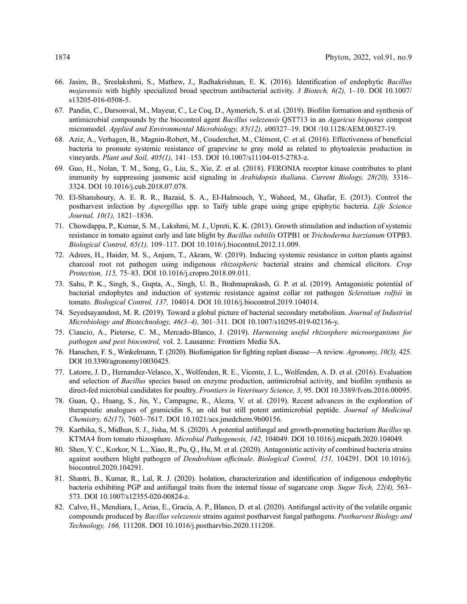- <span id="page-15-0"></span>66. Jasim, B., Sreelakshmi, S., Mathew, J., Radhakrishnan, E. K. (2016). Identification of endophytic Bacillus mojavensis with highly specialized broad spectrum antibacterial activity. 3 Biotech,  $6(2)$ , 1–10. DOI [10.1007/](http://dx.doi.org/10.1007/s13205-016-0508-5) [s13205-016-0508-5.](http://dx.doi.org/10.1007/s13205-016-0508-5)
- <span id="page-15-1"></span>67. Pandin, C., Darsonval, M., Mayeur, C., Le Coq, D., Aymerich, S. et al. (2019). Biofilm formation and synthesis of antimicrobial compounds by the biocontrol agent *Bacillus velezensis* QST713 in an *Agaricus bisporus* compost micromodel. Applied and Environmental Microbiology, 85(12), e00327–19. DOI [/10.1128/AEM.00327-19.](http://dx.doi.org//10.1128/AEM.00327-19)
- <span id="page-15-2"></span>68. Aziz, A., Verhagen, B., Magnin-Robert, M., Couderchet, M., Clément, C. et al. (2016). Effectiveness of beneficial bacteria to promote systemic resistance of grapevine to gray mold as related to phytoalexin production in vineyards. Plant and Soil, 405(1), 141–153. DOI [10.1007/s11104-015-2783-z.](http://dx.doi.org/10.1007/s11104-015-2783-z)
- <span id="page-15-3"></span>69. Guo, H., Nolan, T. M., Song, G., Liu, S., Xie, Z. et al. (2018). FERONIA receptor kinase contributes to plant immunity by suppressing jasmonic acid signaling in Arabidopsis thaliana. Current Biology, 28(20), 3316– 3324. DOI [10.1016/j.cub.2018.07.078.](http://dx.doi.org/10.1016/j.cub.2018.07.078)
- <span id="page-15-4"></span>70. El-Shanshoury, A. E. R. R., Bazaid, S. A., El-Halmouch, Y., Waheed, M., Ghafar, E. (2013). Control the postharvest infection by *Aspergillus* spp. to Taify table grape using grape epiphytic bacteria. Life Science Journal, 10(1), 1821–1836.
- <span id="page-15-5"></span>71. Chowdappa, P., Kumar, S. M., Lakshmi, M. J., Upreti, K. K. (2013). Growth stimulation and induction of systemic resistance in tomato against early and late blight by Bacillus subtilis OTPB1 or Trichoderma harzianum OTPB3. Biological Control, 65(1), 109–117. DOI [10.1016/j.biocontrol.2012.11.009](http://dx.doi.org/10.1016/j.biocontrol.2012.11.009).
- <span id="page-15-6"></span>72. Adrees, H., Haider, M. S., Anjum, T., Akram, W. (2019). Inducing systemic resistance in cotton plants against charcoal root rot pathogen using indigenous rhizospheric bacterial strains and chemical elicitors. Crop Protection, 115, 75–83. DOI [10.1016/j.cropro.2018.09.011](http://dx.doi.org/10.1016/j.cropro.2018.09.011).
- <span id="page-15-7"></span>73. Sahu, P. K., Singh, S., Gupta, A., Singh, U. B., Brahmaprakash, G. P. et al. (2019). Antagonistic potential of bacterial endophytes and induction of systemic resistance against collar rot pathogen Sclerotium rolfsii in tomato. Biological Control, 137, 104014. DOI [10.1016/j.biocontrol.2019.104014.](http://dx.doi.org/10.1016/j.biocontrol.2019.104014)
- <span id="page-15-8"></span>74. Seyedsayamdost, M. R. (2019). Toward a global picture of bacterial secondary metabolism. Journal of Industrial Microbiology and Biotechnology, 46(3–4), 301–311. DOI [10.1007/s10295-019-02136-y.](http://dx.doi.org/10.1007/s10295-019-02136-y)
- <span id="page-15-9"></span>75. Ciancio, A., Pieterse, C. M., Mercado-Blanco, J. (2019). Harnessing useful rhizosphere microorganisms for pathogen and pest biocontrol, vol. 2. Lausanne: Frontiers Media SA.
- <span id="page-15-10"></span>76. Hanschen, F. S., Winkelmann, T. (2020). Biofumigation for fighting replant disease—A review. Agronomy, 10(3), 425. DOI [10.3390/agronomy10030425.](http://dx.doi.org/10.3390/agronomy10030425)
- <span id="page-15-11"></span>77. Latorre, J. D., Hernandez-Velasco, X., Wolfenden, R. E., Vicente, J. L., Wolfenden, A. D. et al. (2016). Evaluation and selection of Bacillus species based on enzyme production, antimicrobial activity, and biofilm synthesis as direct-fed microbial candidates for poultry. Frontiers in Veterinary Science, 3, 95. DOI [10.3389/fvets.2016.00095.](http://dx.doi.org/10.3389/fvets.2016.00095)
- <span id="page-15-12"></span>78. Guan, Q., Huang, S., Jin, Y., Campagne, R., Alezra, V. et al. (2019). Recent advances in the exploration of therapeutic analogues of gramicidin S, an old but still potent antimicrobial peptide. Journal of Medicinal Chemistry, 62(17), 7603–7617. DOI [10.1021/acs.jmedchem.9b00156.](http://dx.doi.org/10.1021/acs.jmedchem.9b00156)
- <span id="page-15-13"></span>79. Karthika, S., Midhun, S. J., Jisha, M. S. (2020). A potential antifungal and growth-promoting bacterium Bacillus sp. KTMA4 from tomato rhizosphere. Microbial Pathogenesis, 142, 104049. DOI [10.1016/j.micpath.2020.104049.](http://dx.doi.org/10.1016/j.micpath.2020.104049)
- <span id="page-15-14"></span>80. Shen, Y. C., Korkor, N. L., Xiao, R., Pu, Q., Hu, M. et al. (2020). Antagonistic activity of combined bacteria strains against southern blight pathogen of *Dendrobium officinale. Biological Control, 151*, 104291. DOI [10.1016/j.](http://dx.doi.org/10.1016/j.biocontrol.2020.104291) [biocontrol.2020.104291.](http://dx.doi.org/10.1016/j.biocontrol.2020.104291)
- <span id="page-15-15"></span>81. Shastri, B., Kumar, R., Lal, R. J. (2020). Isolation, characterization and identification of indigenous endophytic bacteria exhibiting PGP and antifungal traits from the internal tissue of sugarcane crop. Sugar Tech, 22(4), 563– 573. DOI [10.1007/s12355-020-00824-z](http://dx.doi.org/10.1007/s12355-020-00824-z).
- <span id="page-15-16"></span>82. Calvo, H., Mendiara, I., Arias, E., Gracia, A. P., Blanco, D. et al. (2020). Antifungal activity of the volatile organic compounds produced by Bacillus velezensis strains against postharvest fungal pathogens. Postharvest Biology and Technology, 166, 111208. DOI [10.1016/j.postharvbio.2020.111208](http://dx.doi.org/10.1016/j.postharvbio.2020.111208).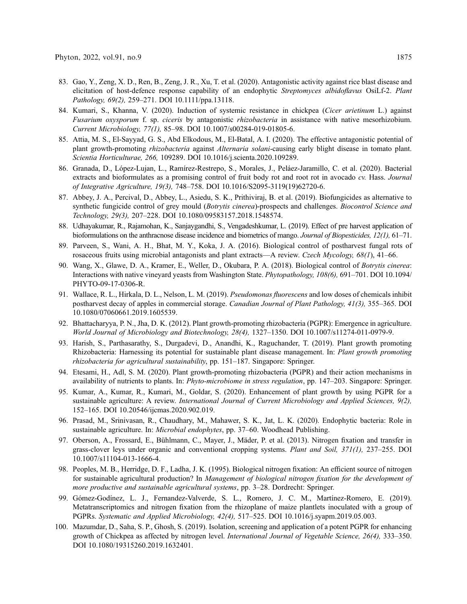- <span id="page-16-3"></span>83. Gao, Y., Zeng, X. D., Ren, B., Zeng, J. R., Xu, T. et al. (2020). Antagonistic activity against rice blast disease and elicitation of host-defence response capability of an endophytic Streptomyces albidoflavus OsiLf-2. Plant Pathology, 69(2), 259–271. DOI [10.1111/ppa.13118.](http://dx.doi.org/10.1111/ppa.13118)
- <span id="page-16-4"></span>84. Kumari, S., Khanna, V. (2020). Induction of systemic resistance in chickpea (Cicer arietinum L.) against Fusarium oxysporum f. sp. ciceris by antagonistic rhizobacteria in assistance with native mesorhizobium. Current Microbiology, 77(1), 85–98. DOI [10.1007/s00284-019-01805-6](http://dx.doi.org/10.1007/s00284-019-01805-6).
- <span id="page-16-0"></span>85. Attia, M. S., El-Sayyad, G. S., Abd Elkodous, M., El-Batal, A. I. (2020). The effective antagonistic potential of plant growth-promoting rhizobacteria against Alternaria solani-causing early blight disease in tomato plant. Scientia Horticulturae, 266, 109289. DOI [10.1016/j.scienta.2020.109289](http://dx.doi.org/10.1016/j.scienta.2020.109289).
- <span id="page-16-1"></span>86. Granada, D., López-Lujan, L., Ramírez-Restrepo, S., Morales, J., Peláez-Jaramillo, C. et al. (2020). Bacterial extracts and bioformulates as a promising control of fruit body rot and root rot in avocado cv. Hass. Journal of Integrative Agriculture, 19(3), 748–758. DOI [10.1016/S2095-3119\(19\)62720-6](http://dx.doi.org/10.1016/S2095-3119(19)62720-6).
- <span id="page-16-2"></span>87. Abbey, J. A., Percival, D., Abbey, L., Asiedu, S. K., Prithiviraj, B. et al. (2019). Biofungicides as alternative to synthetic fungicide control of grey mould (Botrytis cinerea)-prospects and challenges. Biocontrol Science and Technology, 29(3), 207–228. DOI [10.1080/09583157.2018.1548574.](http://dx.doi.org/10.1080/09583157.2018.1548574)
- <span id="page-16-5"></span>88. Udhayakumar, R., Rajamohan, K., Sanjaygandhi, S., Vengadeshkumar, L. (2019). Effect of pre harvest application of bioformulations on the anthracnose disease incidence and biometrics of mango. Journal of Biopesticides, 12(1), 61–71.
- <span id="page-16-6"></span>89. Parveen, S., Wani, A. H., Bhat, M. Y., Koka, J. A. (2016). Biological control of postharvest fungal rots of rosaceous fruits using microbial antagonists and plant extracts—A review. Czech Mycology, 68(1), 41–66.
- <span id="page-16-7"></span>90. Wang, X., Glawe, D. A., Kramer, E., Weller, D., Okubara, P. A. (2018). Biological control of Botrytis cinerea: Interactions with native vineyard yeasts from Washington State. Phytopathology, 108(6), 691–701. DOI [10.1094/](http://dx.doi.org/10.1094/PHYTO-09-17-0306-R) [PHYTO-09-17-0306-R.](http://dx.doi.org/10.1094/PHYTO-09-17-0306-R)
- <span id="page-16-10"></span>91. Wallace, R. L., Hirkala, D. L., Nelson, L. M. (2019). Pseudomonas fluorescens and low doses of chemicals inhibit postharvest decay of apples in commercial storage. Canadian Journal of Plant Pathology, 41(3), 355–365. DOI [10.1080/07060661.2019.1605539](http://dx.doi.org/10.1080/07060661.2019.1605539).
- <span id="page-16-8"></span>92. Bhattacharyya, P. N., Jha, D. K. (2012). Plant growth-promoting rhizobacteria (PGPR): Emergence in agriculture. World Journal of Microbiology and Biotechnology, 28(4), 1327–1350. DOI [10.1007/s11274-011-0979-9](http://dx.doi.org/10.1007/s11274-011-0979-9).
- <span id="page-16-9"></span>93. Harish, S., Parthasarathy, S., Durgadevi, D., Anandhi, K., Raguchander, T. (2019). Plant growth promoting Rhizobacteria: Harnessing its potential for sustainable plant disease management. In: Plant growth promoting rhizobacteria for agricultural sustainability, pp. 151–187. Singapore: Springer.
- <span id="page-16-11"></span>94. Etesami, H., Adl, S. M. (2020). Plant growth-promoting rhizobacteria (PGPR) and their action mechanisms in availability of nutrients to plants. In: Phyto-microbiome in stress regulation, pp. 147–203. Singapore: Springer.
- <span id="page-16-12"></span>95. Kumar, A., Kumar, R., Kumari, M., Goldar, S. (2020). Enhancement of plant growth by using PGPR for a sustainable agriculture: A review. International Journal of Current Microbiology and Applied Sciences, 9(2), 152–165. DOI [10.20546/ijcmas.2020.902.019.](http://dx.doi.org/10.20546/ijcmas.2020.902.019)
- <span id="page-16-13"></span>96. Prasad, M., Srinivasan, R., Chaudhary, M., Mahawer, S. K., Jat, L. K. (2020). Endophytic bacteria: Role in sustainable agriculture. In: Microbial endophytes, pp. 37–60. Woodhead Publishing.
- <span id="page-16-14"></span>97. Oberson, A., Frossard, E., Bühlmann, C., Mayer, J., Mäder, P. et al. (2013). Nitrogen fixation and transfer in grass-clover leys under organic and conventional cropping systems. Plant and Soil, 371(1), 237–255. DOI [10.1007/s11104-013-1666-4](http://dx.doi.org/10.1007/s11104-013-1666-4).
- <span id="page-16-15"></span>98. Peoples, M. B., Herridge, D. F., Ladha, J. K. (1995). Biological nitrogen fixation: An efficient source of nitrogen for sustainable agricultural production? In Management of biological nitrogen fixation for the development of more productive and sustainable agricultural systems, pp. 3–28. Dordrecht: Springer.
- <span id="page-16-16"></span>99. Gómez-Godínez, L. J., Fernandez-Valverde, S. L., Romero, J. C. M., Martínez-Romero, E. (2019). Metatranscriptomics and nitrogen fixation from the rhizoplane of maize plantlets inoculated with a group of PGPRs. Systematic and Applied Microbiology, 42(4), 517–525. DOI [10.1016/j.syapm.2019.05.003.](http://dx.doi.org/10.1016/j.syapm.2019.05.003)
- <span id="page-16-17"></span>100. Mazumdar, D., Saha, S. P., Ghosh, S. (2019). Isolation, screening and application of a potent PGPR for enhancing growth of Chickpea as affected by nitrogen level. International Journal of Vegetable Science, 26(4), 333–350. DOI [10.1080/19315260.2019.1632401.](http://dx.doi.org/10.1080/19315260.2019.1632401)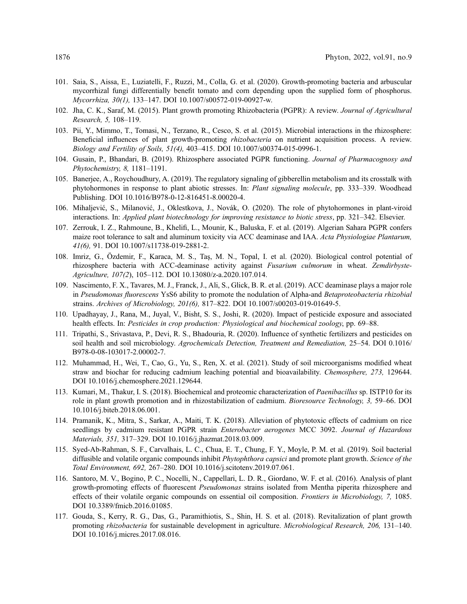- <span id="page-17-0"></span>101. Saia, S., Aissa, E., Luziatelli, F., Ruzzi, M., Colla, G. et al. (2020). Growth-promoting bacteria and arbuscular mycorrhizal fungi differentially benefit tomato and corn depending upon the supplied form of phosphorus. Mycorrhiza, 30(1), 133–147. DOI [10.1007/s00572-019-00927-w.](http://dx.doi.org/10.1007/s00572-019-00927-w)
- <span id="page-17-1"></span>102. Jha, C. K., Saraf, M. (2015). Plant growth promoting Rhizobacteria (PGPR): A review. Journal of Agricultural Research, 5, 108–119.
- <span id="page-17-2"></span>103. Pii, Y., Mimmo, T., Tomasi, N., Terzano, R., Cesco, S. et al. (2015). Microbial interactions in the rhizosphere: Beneficial influences of plant growth-promoting rhizobacteria on nutrient acquisition process. A review. Biology and Fertility of Soils, 51(4), 403–415. DOI [10.1007/s00374-015-0996-1](http://dx.doi.org/10.1007/s00374-015-0996-1).
- <span id="page-17-3"></span>104. Gusain, P., Bhandari, B. (2019). Rhizosphere associated PGPR functioning. Journal of Pharmacognosy and Phytochemistry, 8, 1181–1191.
- <span id="page-17-4"></span>105. Banerjee, A., Roychoudhury, A. (2019). The regulatory signaling of gibberellin metabolism and its crosstalk with phytohormones in response to plant abiotic stresses. In: Plant signaling molecule, pp. 333–339. Woodhead Publishing. DOI [10.1016/B978-0-12-816451-8.00020-4](http://dx.doi.org/10.1016/B978-0-12-816451-8.00020-4).
- <span id="page-17-5"></span>106. Mihaljević, S., Milanović, J., Oklestkova, J., Novák, O. (2020). The role of phytohormones in plant-viroid interactions. In: Applied plant biotechnology for improving resistance to biotic stress, pp. 321–342. Elsevier.
- <span id="page-17-6"></span>107. Zerrouk, I. Z., Rahmoune, B., Khelifi, L., Mounir, K., Baluska, F. et al. (2019). Algerian Sahara PGPR confers maize root tolerance to salt and aluminum toxicity via ACC deaminase and IAA. Acta Physiologiae Plantarum, 41(6), 91. DOI [10.1007/s11738-019-2881-2.](http://dx.doi.org/10.1007/s11738-019-2881-2)
- <span id="page-17-7"></span>108. Imriz, G., Özdemir, F., Karaca, M. S., Taş, M. N., Topal, I. et al. (2020). Biological control potential of rhizosphere bacteria with ACC-deaminase activity against Fusarium culmorum in wheat. Zemdirbyste-Agriculture, 107(2), 105–112. DOI [10.13080/z-a.2020.107.014](http://dx.doi.org/10.13080/z-a.2020.107.014).
- <span id="page-17-8"></span>109. Nascimento, F. X., Tavares, M. J., Franck, J., Ali, S., Glick, B. R. et al. (2019). ACC deaminase plays a major role in Pseudomonas fluorescens YsS6 ability to promote the nodulation of Alpha-and Betaproteobacteria rhizobial strains. Archives of Microbiology, 201(6), 817–822. DOI [10.1007/s00203-019-01649-5](http://dx.doi.org/10.1007/s00203-019-01649-5).
- <span id="page-17-9"></span>110. Upadhayay, J., Rana, M., Juyal, V., Bisht, S. S., Joshi, R. (2020). Impact of pesticide exposure and associated health effects. In: Pesticides in crop production: Physiological and biochemical zoology, pp. 69-88.
- <span id="page-17-10"></span>111. Tripathi, S., Srivastava, P., Devi, R. S., Bhadouria, R. (2020). Influence of synthetic fertilizers and pesticides on soil health and soil microbiology. Agrochemicals Detection, Treatment and Remediation, 25–54. DOI [0.1016/](http://dx.doi.org/0.1016/B978-0-08-103017-2.00002-7) [B978-0-08-103017-2.00002-7.](http://dx.doi.org/0.1016/B978-0-08-103017-2.00002-7)
- <span id="page-17-11"></span>112. Muhammad, H., Wei, T., Cao, G., Yu, S., Ren, X. et al. (2021). Study of soil microorganisms modified wheat straw and biochar for reducing cadmium leaching potential and bioavailability. Chemosphere, 273, 129644. DOI [10.1016/j.chemosphere.2021.129644](http://dx.doi.org/10.1016/j.chemosphere.2021.129644).
- <span id="page-17-12"></span>113. Kumari, M., Thakur, I. S. (2018). Biochemical and proteomic characterization of Paenibacillus sp. ISTP10 for its role in plant growth promotion and in rhizostabilization of cadmium. Bioresource Technology, 3, 59–66. DOI [10.1016/j.biteb.2018.06.001.](http://dx.doi.org/10.1016/j.biteb.2018.06.001)
- <span id="page-17-13"></span>114. Pramanik, K., Mitra, S., Sarkar, A., Maiti, T. K. (2018). Alleviation of phytotoxic effects of cadmium on rice seedlings by cadmium resistant PGPR strain *Enterobacter aerogenes* MCC 3092. Journal of Hazardous Materials, 351, 317–329. DOI [10.1016/j.jhazmat.2018.03.009](http://dx.doi.org/10.1016/j.jhazmat.2018.03.009).
- <span id="page-17-14"></span>115. Syed-Ab-Rahman, S. F., Carvalhais, L. C., Chua, E. T., Chung, F. Y., Moyle, P. M. et al. (2019). Soil bacterial diffusible and volatile organic compounds inhibit *Phytophthora capsici* and promote plant growth. Science of the Total Environment, 692, 267–280. DOI [10.1016/j.scitotenv.2019.07.061.](http://dx.doi.org/10.1016/j.scitotenv.2019.07.061)
- <span id="page-17-15"></span>116. Santoro, M. V., Bogino, P. C., Nocelli, N., Cappellari, L. D. R., Giordano, W. F. et al. (2016). Analysis of plant growth-promoting effects of fluorescent Pseudomonas strains isolated from Mentha piperita rhizosphere and effects of their volatile organic compounds on essential oil composition. Frontiers in Microbiology, 7, 1085. DOI [10.3389/fmicb.2016.01085.](http://dx.doi.org/10.3389/fmicb.2016.01085)
- <span id="page-17-16"></span>117. Gouda, S., Kerry, R. G., Das, G., Paramithiotis, S., Shin, H. S. et al. (2018). Revitalization of plant growth promoting rhizobacteria for sustainable development in agriculture. Microbiological Research, 206, 131–140. DOI [10.1016/j.micres.2017.08.016.](http://dx.doi.org/10.1016/j.micres.2017.08.016)